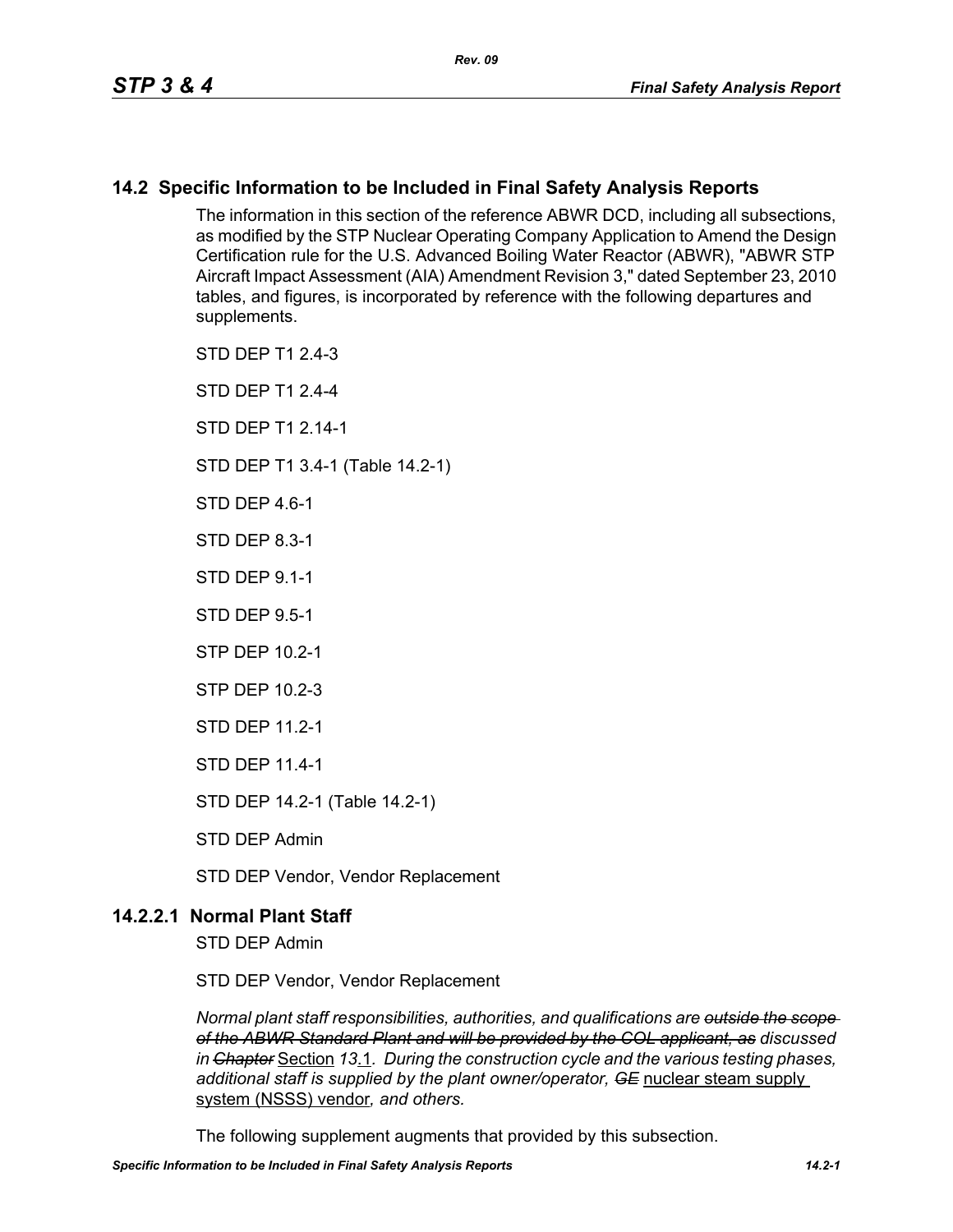## **14.2 Specific Information to be Included in Final Safety Analysis Reports**

The information in this section of the reference ABWR DCD, including all subsections, as modified by the STP Nuclear Operating Company Application to Amend the Design Certification rule for the U.S. Advanced Boiling Water Reactor (ABWR), "ABWR STP Aircraft Impact Assessment (AIA) Amendment Revision 3," dated September 23, 2010 tables, and figures, is incorporated by reference with the following departures and supplements.

STD DEP T1 2.4-3

STD DEP T1 2.4-4

STD DFP T1 2 14-1

STD DEP T1 3.4-1 (Table 14.2-1)

STD DFP 46-1

STD DEP 8.3-1

STD DEP 9.1-1

STD DEP 9.5-1

STP DEP 10.2-1

STP DEP 10.2-3

STD DEP 11.2-1

STD DEP 11.4-1

STD DEP 14.2-1 (Table 14.2-1)

STD DEP Admin

STD DEP Vendor, Vendor Replacement

## **14.2.2.1 Normal Plant Staff**

STD DEP Admin

STD DEP Vendor, Vendor Replacement

*Normal plant staff responsibilities, authorities, and qualifications are outside the scope of the ABWR Standard Plant and will be provided by the COL applicant, as discussed in Chapter* Section *13*.1*. During the construction cycle and the various testing phases, additional staff is supplied by the plant owner/operator, GE* nuclear steam supply system (NSSS) vendor*, and others.* 

The following supplement augments that provided by this subsection.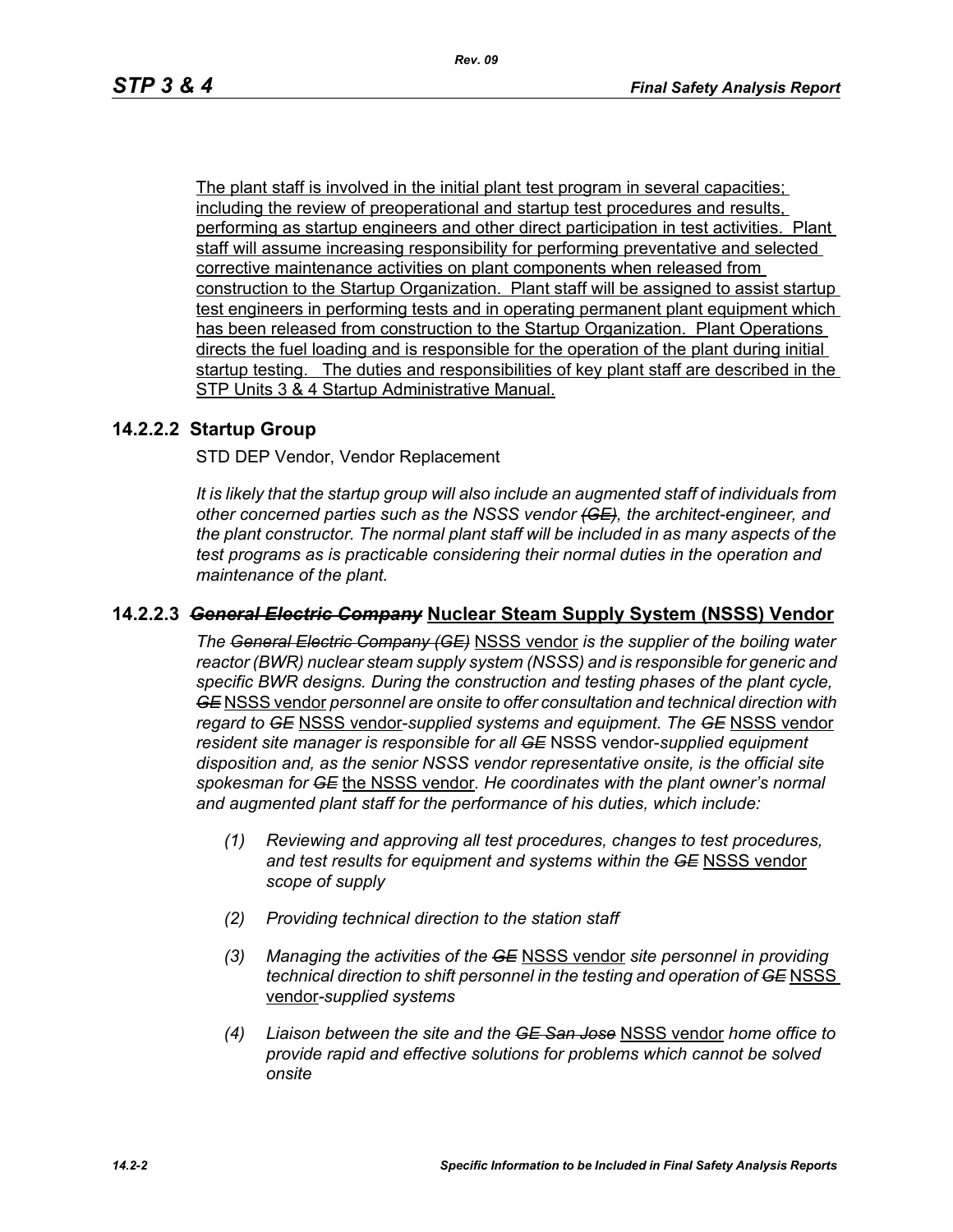The plant staff is involved in the initial plant test program in several capacities; including the review of preoperational and startup test procedures and results, performing as startup engineers and other direct participation in test activities. Plant staff will assume increasing responsibility for performing preventative and selected corrective maintenance activities on plant components when released from construction to the Startup Organization. Plant staff will be assigned to assist startup test engineers in performing tests and in operating permanent plant equipment which has been released from construction to the Startup Organization. Plant Operations directs the fuel loading and is responsible for the operation of the plant during initial startup testing. The duties and responsibilities of key plant staff are described in the STP Units 3 & 4 Startup Administrative Manual.

## **14.2.2.2 Startup Group**

STD DEP Vendor, Vendor Replacement

*It is likely that the startup group will also include an augmented staff of individuals from other concerned parties such as the NSSS vendor (GE), the architect-engineer, and the plant constructor. The normal plant staff will be included in as many aspects of the test programs as is practicable considering their normal duties in the operation and maintenance of the plant.*

## **14.2.2.3** *General Electric Company* **Nuclear Steam Supply System (NSSS) Vendor**

*The General Electric Company (GE)* NSSS vendor *is the supplier of the boiling water reactor (BWR) nuclear steam supply system (NSSS) and is responsible for generic and specific BWR designs. During the construction and testing phases of the plant cycle, GE* NSSS vendor *personnel are onsite to offer consultation and technical direction with regard to GE* NSSS vendor-*supplied systems and equipment. The GE* NSSS vendor *resident site manager is responsible for all GE* NSSS vendor-*supplied equipment disposition and, as the senior NSSS vendor representative onsite, is the official site spokesman for GE* the NSSS vendor*. He coordinates with the plant owner's normal and augmented plant staff for the performance of his duties, which include:*

- *(1) Reviewing and approving all test procedures, changes to test procedures, and test results for equipment and systems within the GE* NSSS vendor *scope of supply*
- *(2) Providing technical direction to the station staff*
- *(3) Managing the activities of the GE* NSSS vendor *site personnel in providing technical direction to shift personnel in the testing and operation of GE NSSS* vendor*-supplied systems*
- *(4) Liaison between the site and the GE San Jose* NSSS vendor *home office to provide rapid and effective solutions for problems which cannot be solved onsite*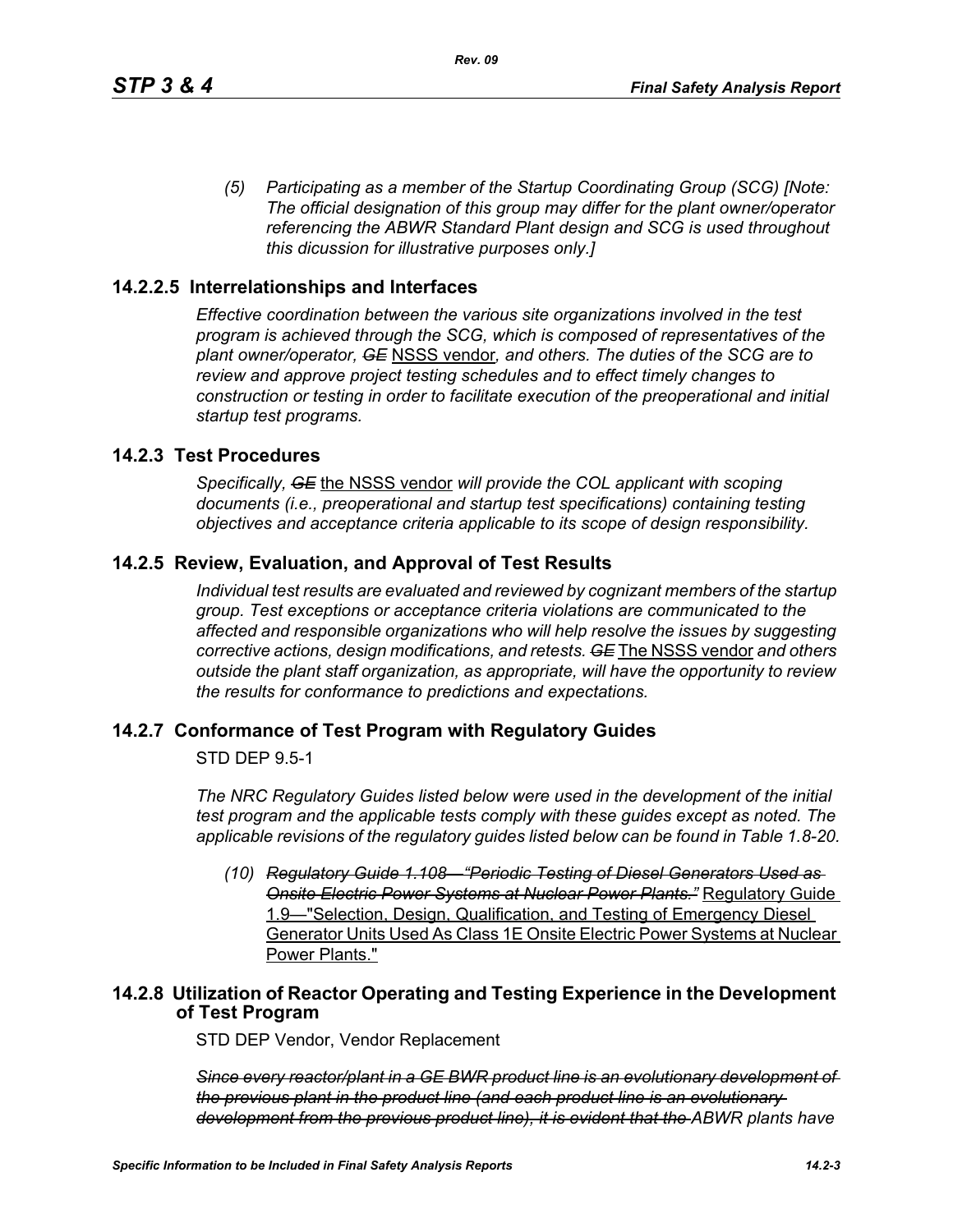*(5) Participating as a member of the Startup Coordinating Group (SCG) [Note: The official designation of this group may differ for the plant owner/operator referencing the ABWR Standard Plant design and SCG is used throughout this dicussion for illustrative purposes only.]*

## **14.2.2.5 Interrelationships and Interfaces**

*Effective coordination between the various site organizations involved in the test program is achieved through the SCG, which is composed of representatives of the plant owner/operator, GE* NSSS vendor*, and others. The duties of the SCG are to review and approve project testing schedules and to effect timely changes to construction or testing in order to facilitate execution of the preoperational and initial startup test programs.*

## **14.2.3 Test Procedures**

*Specifically, GE* the NSSS vendor *will provide the COL applicant with scoping documents (i.e., preoperational and startup test specifications) containing testing objectives and acceptance criteria applicable to its scope of design responsibility.*

## **14.2.5 Review, Evaluation, and Approval of Test Results**

*Individual test results are evaluated and reviewed by cognizant members of the startup group. Test exceptions or acceptance criteria violations are communicated to the affected and responsible organizations who will help resolve the issues by suggesting corrective actions, design modifications, and retests. GE* The NSSS vendor *and others outside the plant staff organization, as appropriate, will have the opportunity to review the results for conformance to predictions and expectations.*

### **14.2.7 Conformance of Test Program with Regulatory Guides**

STD DEP 9.5-1

*The NRC Regulatory Guides listed below were used in the development of the initial test program and the applicable tests comply with these guides except as noted. The applicable revisions of the regulatory guides listed below can be found in Table 1.8-20.*

*(10) Regulatory Guide 1.108—"Periodic Testing of Diesel Generators Used as Onsite Electric Power Systems at Nuclear Power Plants."* Regulatory Guide 1.9—"Selection, Design, Qualification, and Testing of Emergency Diesel Generator Units Used As Class 1E Onsite Electric Power Systems at Nuclear Power Plants."

## **14.2.8 Utilization of Reactor Operating and Testing Experience in the Development of Test Program**

STD DEP Vendor, Vendor Replacement

*Since every reactor/plant in a GE BWR product line is an evolutionary development of the previous plant in the product line (and each product line is an evolutionary development from the previous product line), it is evident that the ABWR plants have*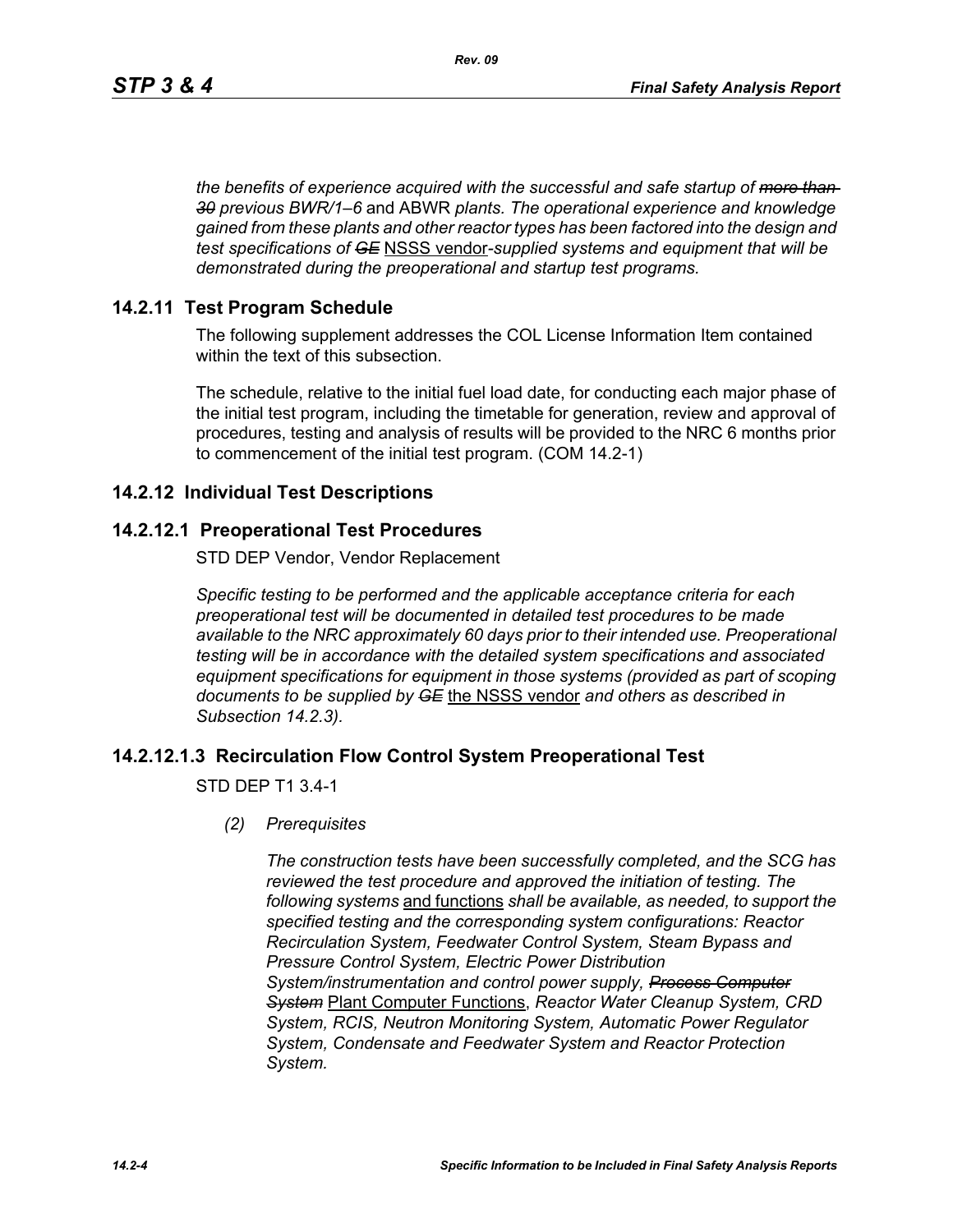*the benefits of experience acquired with the successful and safe startup of more than 30 previous BWR/1–6* and ABWR *plants. The operational experience and knowledge gained from these plants and other reactor types has been factored into the design and test specifications of GE* NSSS vendor*-supplied systems and equipment that will be demonstrated during the preoperational and startup test programs.*

## **14.2.11 Test Program Schedule**

The following supplement addresses the COL License Information Item contained within the text of this subsection.

The schedule, relative to the initial fuel load date, for conducting each major phase of the initial test program, including the timetable for generation, review and approval of procedures, testing and analysis of results will be provided to the NRC 6 months prior to commencement of the initial test program. (COM 14.2-1)

## **14.2.12 Individual Test Descriptions**

## **14.2.12.1 Preoperational Test Procedures**

STD DEP Vendor, Vendor Replacement

*Specific testing to be performed and the applicable acceptance criteria for each preoperational test will be documented in detailed test procedures to be made available to the NRC approximately 60 days prior to their intended use. Preoperational testing will be in accordance with the detailed system specifications and associated equipment specifications for equipment in those systems (provided as part of scoping documents to be supplied by GE* the NSSS vendor *and others as described in Subsection 14.2.3).*

## **14.2.12.1.3 Recirculation Flow Control System Preoperational Test**

STD DEP T1 3.4-1

*(2) Prerequisites*

*The construction tests have been successfully completed, and the SCG has reviewed the test procedure and approved the initiation of testing. The following systems* and functions *shall be available, as needed, to support the specified testing and the corresponding system configurations: Reactor Recirculation System, Feedwater Control System, Steam Bypass and Pressure Control System, Electric Power Distribution System/instrumentation and control power supply, Process Computer System* Plant Computer Functions, *Reactor Water Cleanup System, CRD System, RCIS, Neutron Monitoring System, Automatic Power Regulator System, Condensate and Feedwater System and Reactor Protection System.*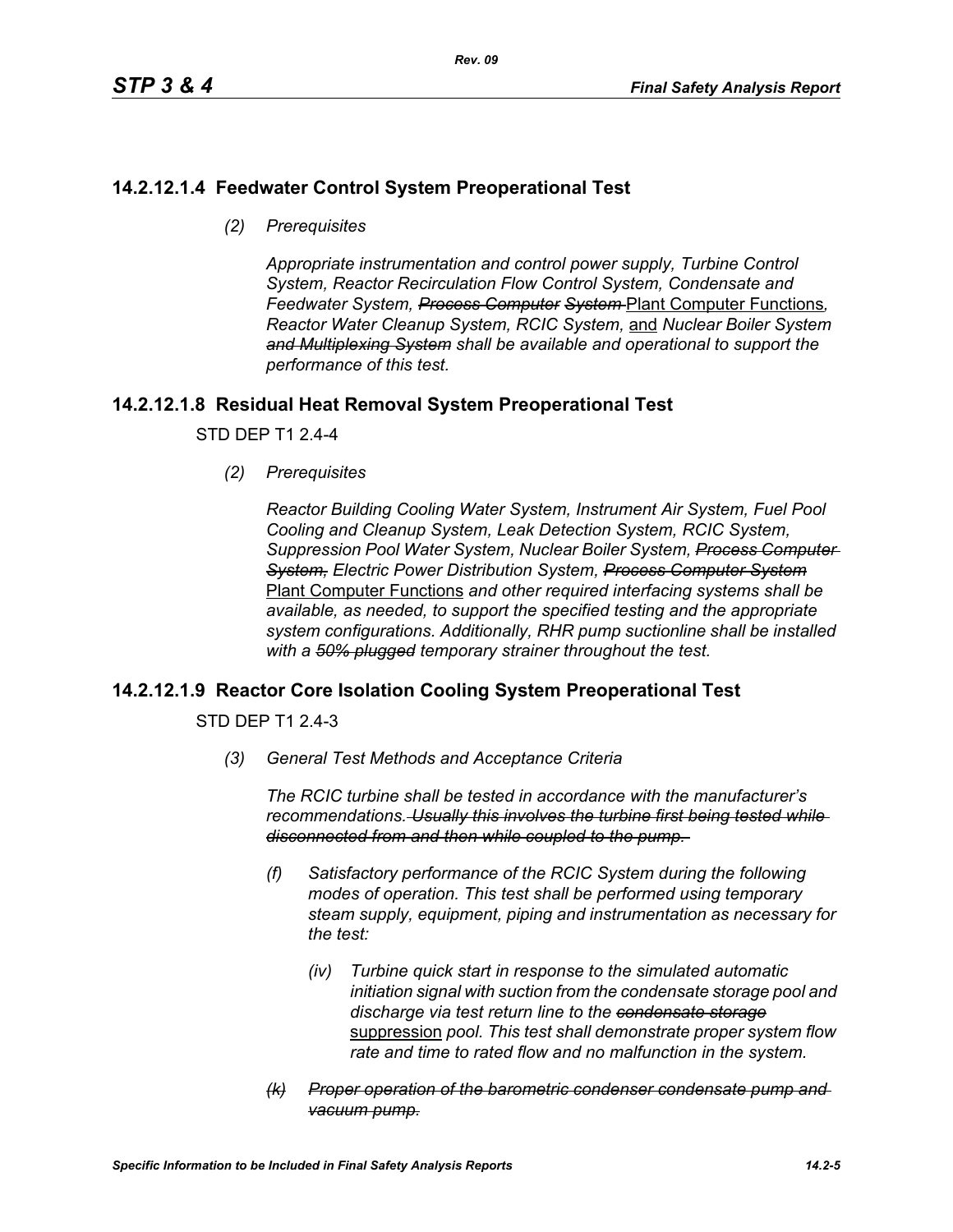## **14.2.12.1.4 Feedwater Control System Preoperational Test**

*(2) Prerequisites*

*Appropriate instrumentation and control power supply, Turbine Control System, Reactor Recirculation Flow Control System, Condensate and Feedwater System, Process Computer System* Plant Computer Functions*, Reactor Water Cleanup System, RCIC System,* and *Nuclear Boiler System and Multiplexing System shall be available and operational to support the performance of this test.*

## **14.2.12.1.8 Residual Heat Removal System Preoperational Test**

STD DEP T1 2.4-4

*(2) Prerequisites*

*Reactor Building Cooling Water System, Instrument Air System, Fuel Pool Cooling and Cleanup System, Leak Detection System, RCIC System, Suppression Pool Water System, Nuclear Boiler System, Process Computer System, Electric Power Distribution System, Process Computer System* Plant Computer Functions *and other required interfacing systems shall be available, as needed, to support the specified testing and the appropriate system configurations. Additionally, RHR pump suctionline shall be installed with a 50% plugged temporary strainer throughout the test.*

## **14.2.12.1.9 Reactor Core Isolation Cooling System Preoperational Test**

STD DEP T1 2.4-3

*(3) General Test Methods and Acceptance Criteria*

*The RCIC turbine shall be tested in accordance with the manufacturer's recommendations. Usually this involves the turbine first being tested while disconnected from and then while coupled to the pump.* 

- *(f) Satisfactory performance of the RCIC System during the following modes of operation. This test shall be performed using temporary steam supply, equipment, piping and instrumentation as necessary for the test:*
	- *(iv) Turbine quick start in response to the simulated automatic initiation signal with suction from the condensate storage pool and discharge via test return line to the condensate storage* suppression *pool. This test shall demonstrate proper system flow rate and time to rated flow and no malfunction in the system.*
- *(k) Proper operation of the barometric condenser condensate pump and vacuum pump.*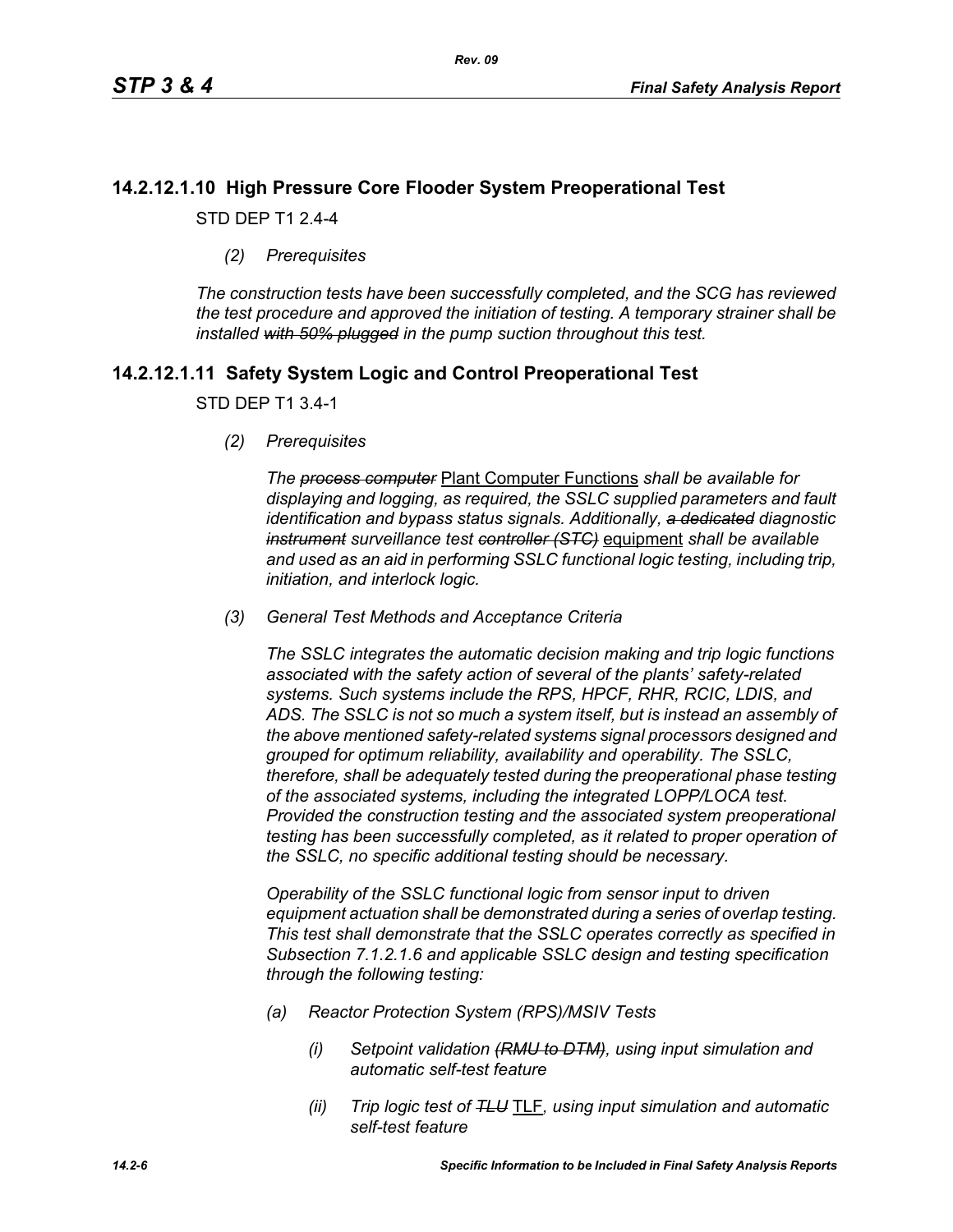## **14.2.12.1.10 High Pressure Core Flooder System Preoperational Test**

STD DEP T1 2.4-4

*(2) Prerequisites*

*The construction tests have been successfully completed, and the SCG has reviewed the test procedure and approved the initiation of testing. A temporary strainer shall be installed with 50% plugged in the pump suction throughout this test.*

## **14.2.12.1.11 Safety System Logic and Control Preoperational Test**

### STD DEP T1 3.4-1

*(2) Prerequisites*

*The process computer* Plant Computer Functions *shall be available for displaying and logging, as required, the SSLC supplied parameters and fault identification and bypass status signals. Additionally, a dedicated diagnostic instrument surveillance test controller (STC)* equipment *shall be available and used as an aid in performing SSLC functional logic testing, including trip, initiation, and interlock logic.*

*(3) General Test Methods and Acceptance Criteria*

*The SSLC integrates the automatic decision making and trip logic functions associated with the safety action of several of the plants' safety-related systems. Such systems include the RPS, HPCF, RHR, RCIC, LDIS, and ADS. The SSLC is not so much a system itself, but is instead an assembly of the above mentioned safety-related systems signal processors designed and grouped for optimum reliability, availability and operability. The SSLC, therefore, shall be adequately tested during the preoperational phase testing of the associated systems, including the integrated LOPP/LOCA test. Provided the construction testing and the associated system preoperational testing has been successfully completed, as it related to proper operation of the SSLC, no specific additional testing should be necessary.*

*Operability of the SSLC functional logic from sensor input to driven equipment actuation shall be demonstrated during a series of overlap testing. This test shall demonstrate that the SSLC operates correctly as specified in Subsection 7.1.2.1.6 and applicable SSLC design and testing specification through the following testing:*

- *(a) Reactor Protection System (RPS)/MSIV Tests*
	- *(i) Setpoint validation (RMU to DTM), using input simulation and automatic self-test feature*
	- *(ii) Trip logic test of TLU* TLF*, using input simulation and automatic self-test feature*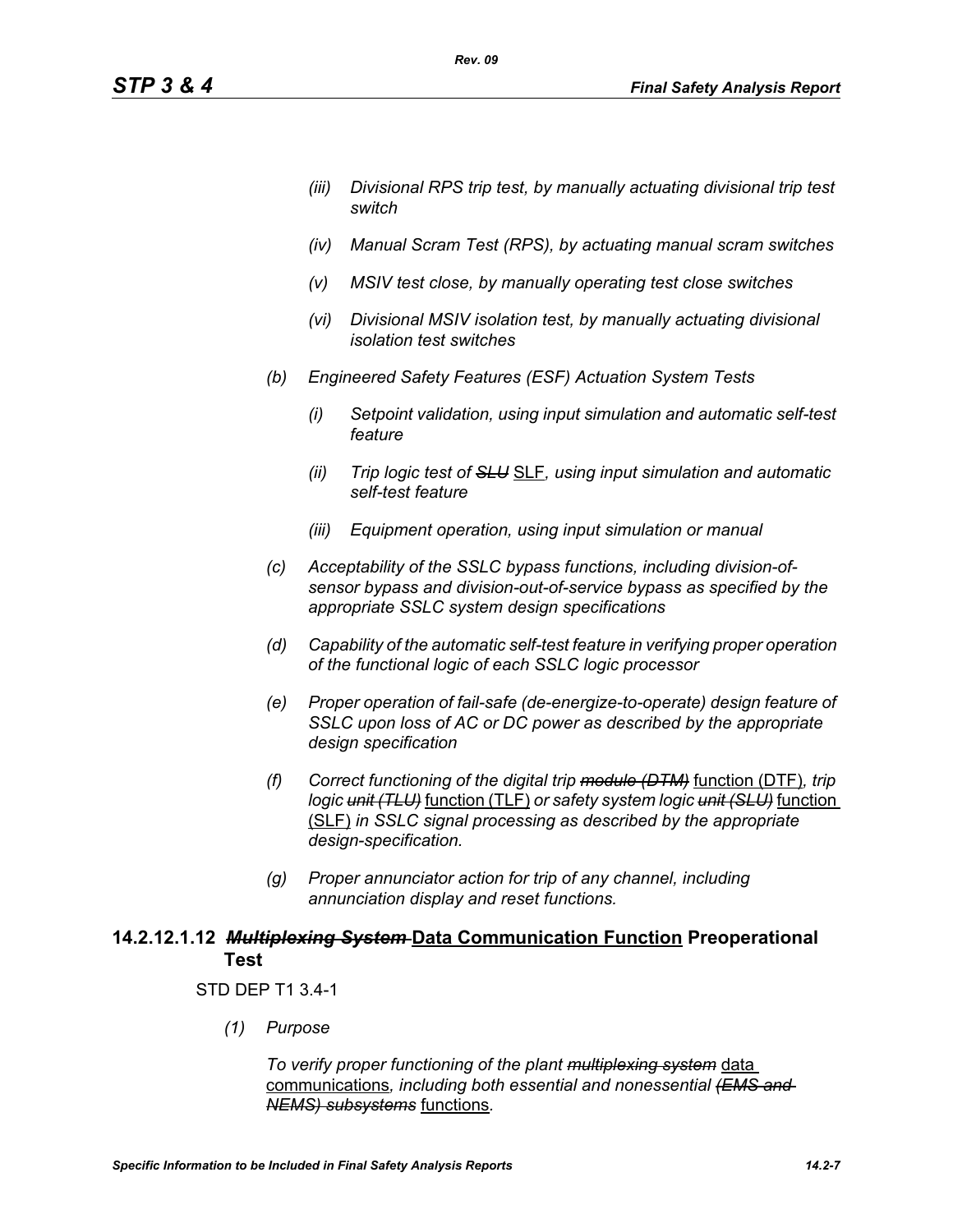- *(iii) Divisional RPS trip test, by manually actuating divisional trip test switch*
- *(iv) Manual Scram Test (RPS), by actuating manual scram switches*
- *(v) MSIV test close, by manually operating test close switches*
- *(vi) Divisional MSIV isolation test, by manually actuating divisional isolation test switches*
- *(b) Engineered Safety Features (ESF) Actuation System Tests*

*Rev. 09*

- *(i) Setpoint validation, using input simulation and automatic self-test feature*
- *(ii) Trip logic test of SLU* SLF*, using input simulation and automatic self-test feature*
- *(iii) Equipment operation, using input simulation or manual*
- *(c) Acceptability of the SSLC bypass functions, including division-ofsensor bypass and division-out-of-service bypass as specified by the appropriate SSLC system design specifications*
- *(d) Capability of the automatic self-test feature in verifying proper operation of the functional logic of each SSLC logic processor*
- *(e) Proper operation of fail-safe (de-energize-to-operate) design feature of SSLC upon loss of AC or DC power as described by the appropriate design specification*
- *(f) Correct functioning of the digital trip module (DTM)* function (DTF)*, trip logic unit (TLU)* function (TLF) *or safety system logic unit (SLU)* function (SLF) *in SSLC signal processing as described by the appropriate design-specification.*
- *(g) Proper annunciator action for trip of any channel, including annunciation display and reset functions.*

## **14.2.12.1.12** *Multiplexing System* **Data Communication Function Preoperational Test**

### STD DEP T1 3.4-1

*(1) Purpose*

*To verify proper functioning of the plant multiplexing system* data communications*, including both essential and nonessential (EMS and NEMS) subsystems* functions*.*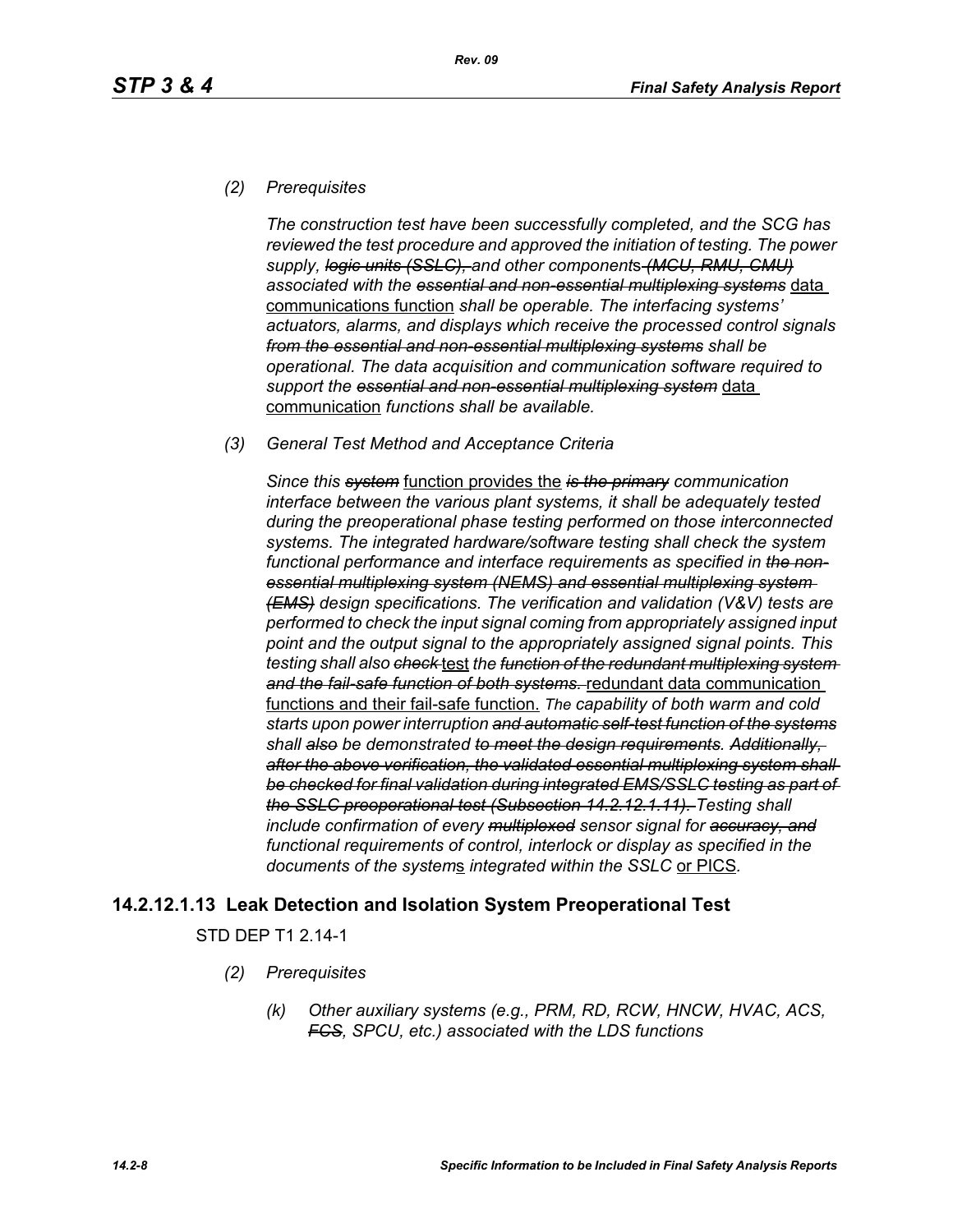### *(2) Prerequisites*

*The construction test have been successfully completed, and the SCG has reviewed the test procedure and approved the initiation of testing. The power supply, logic units (SSLC), and other component*s *(MCU, RMU, CMU) associated with the essential and non-essential multiplexing systems* data communications function *shall be operable. The interfacing systems' actuators, alarms, and displays which receive the processed control signals from the essential and non-essential multiplexing systems shall be operational. The data acquisition and communication software required to support the essential and non-essential multiplexing system* data communication *functions shall be available.*

### *(3) General Test Method and Acceptance Criteria*

*Since this system* function provides the *is the primary communication interface between the various plant systems, it shall be adequately tested during the preoperational phase testing performed on those interconnected systems. The integrated hardware/software testing shall check the system functional performance and interface requirements as specified in the nonessential multiplexing system (NEMS) and essential multiplexing system (EMS) design specifications. The verification and validation (V&V) tests are performed to check the input signal coming from appropriately assigned input point and the output signal to the appropriately assigned signal points. This testing shall also check* test *the function of the redundant multiplexing system and the fail-safe function of both systems.* redundant data communication functions and their fail-safe function. *The capability of both warm and cold starts upon power interruption and automatic self-test function of the systems shall also be demonstrated to meet the design requirements. Additionally, after the above verification, the validated essential multiplexing system shall be checked for final validation during integrated EMS/SSLC testing as part of the SSLC preoperational test (Subsection 14.2.12.1.11). Testing shall include confirmation of every multiplexed sensor signal for accuracy, and functional requirements of control, interlock or display as specified in the documents of the system*s *integrated within the SSLC* or PICS*.*

## **14.2.12.1.13 Leak Detection and Isolation System Preoperational Test**

STD DEP T1 2.14-1

- *(2) Prerequisites*
	- *(k) Other auxiliary systems (e.g., PRM, RD, RCW, HNCW, HVAC, ACS, FCS, SPCU, etc.) associated with the LDS functions*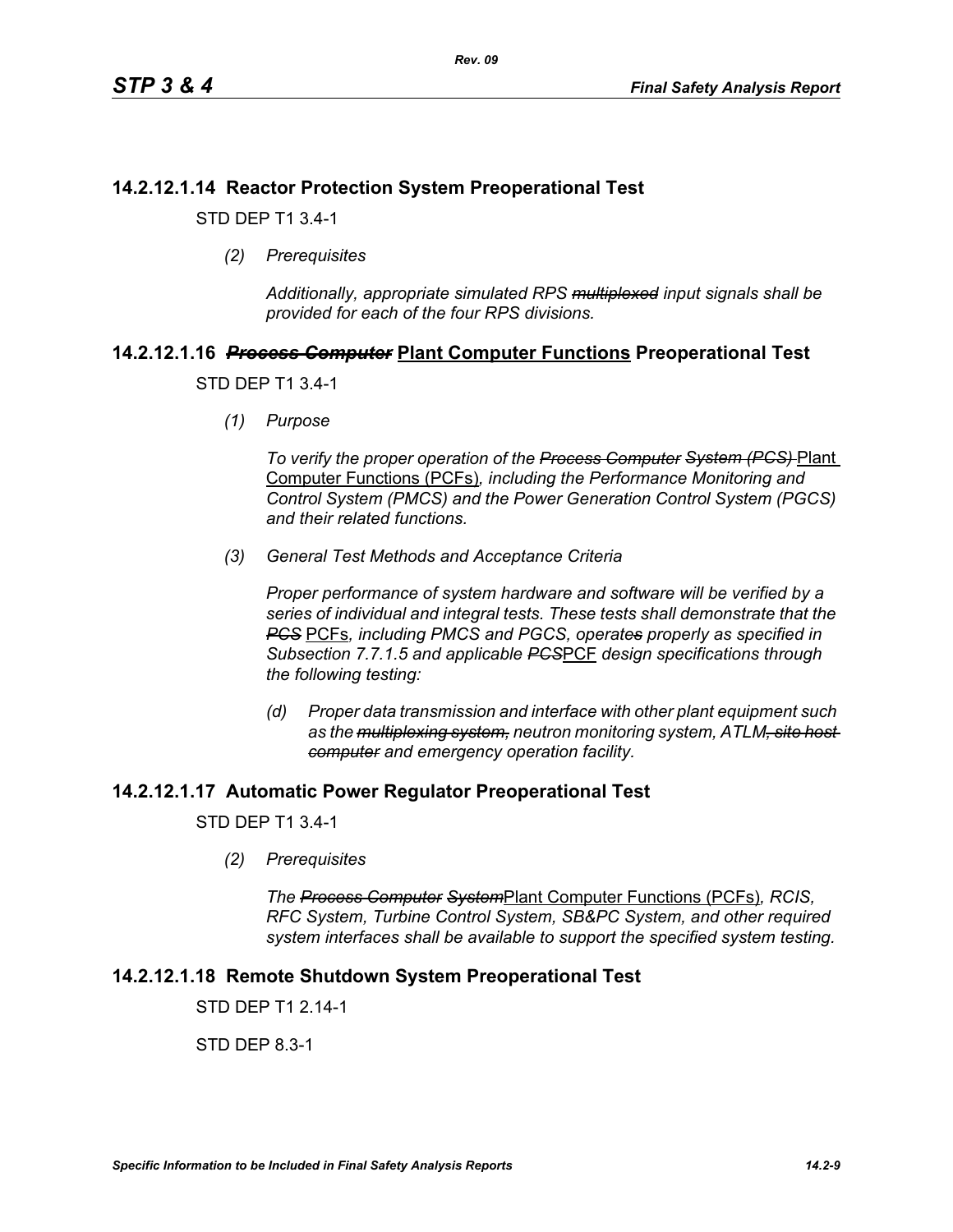## **14.2.12.1.14 Reactor Protection System Preoperational Test**

STD DEP T1 3.4-1

*(2) Prerequisites*

*Additionally, appropriate simulated RPS multiplexed input signals shall be provided for each of the four RPS divisions.*

# **14.2.12.1.16** *Process Computer* **Plant Computer Functions Preoperational Test**

STD DEP T1 3.4-1

*(1) Purpose*

*To verify the proper operation of the Process Computer System (PCS)* Plant Computer Functions (PCFs)*, including the Performance Monitoring and Control System (PMCS) and the Power Generation Control System (PGCS) and their related functions.*

*(3) General Test Methods and Acceptance Criteria*

*Proper performance of system hardware and software will be verified by a series of individual and integral tests. These tests shall demonstrate that the PCS* PCFs*, including PMCS and PGCS, operates properly as specified in Subsection 7.7.1.5 and applicable PCS*PCF *design specifications through the following testing:*

*(d) Proper data transmission and interface with other plant equipment such as the multiplexing system, neutron monitoring system, ATLM, site host computer and emergency operation facility.*

## **14.2.12.1.17 Automatic Power Regulator Preoperational Test**

STD DEP T1 3.4-1

*(2) Prerequisites*

*The Process Computer System*Plant Computer Functions (PCFs)*, RCIS, RFC System, Turbine Control System, SB&PC System, and other required system interfaces shall be available to support the specified system testing.*

## **14.2.12.1.18 Remote Shutdown System Preoperational Test**

STD DFP T1 2 14-1

STD DEP 8.3-1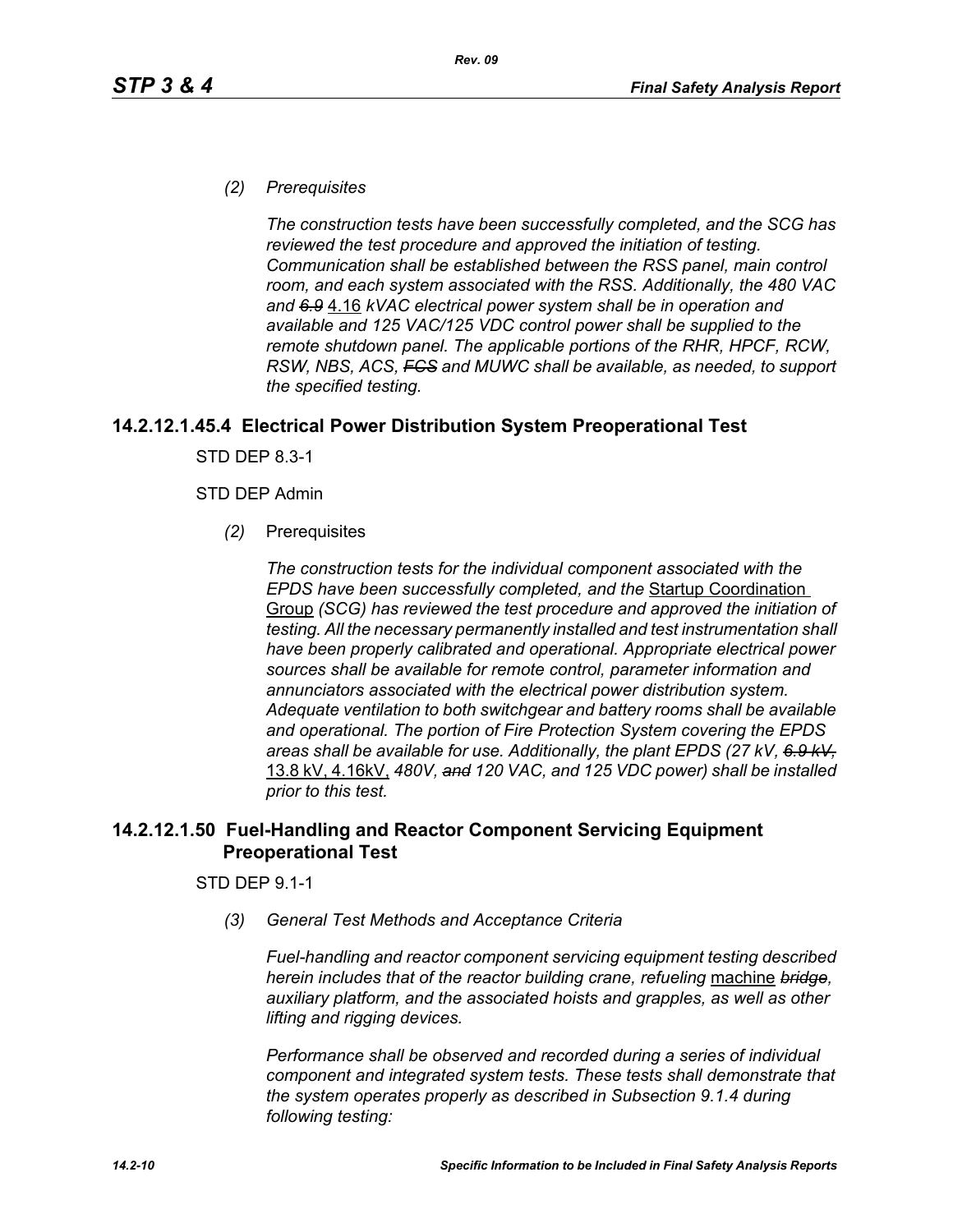### *(2) Prerequisites*

*The construction tests have been successfully completed, and the SCG has reviewed the test procedure and approved the initiation of testing. Communication shall be established between the RSS panel, main control room, and each system associated with the RSS. Additionally, the 480 VAC and 6.9* 4.16 *kVAC electrical power system shall be in operation and available and 125 VAC/125 VDC control power shall be supplied to the remote shutdown panel. The applicable portions of the RHR, HPCF, RCW, RSW, NBS, ACS, FCS and MUWC shall be available, as needed, to support the specified testing.*

### **14.2.12.1.45.4 Electrical Power Distribution System Preoperational Test**

STD DEP 8.3-1

### STD DEP Admin

*(2)* Prerequisites

*The construction tests for the individual component associated with the EPDS have been successfully completed, and the* Startup Coordination Group *(SCG) has reviewed the test procedure and approved the initiation of testing. All the necessary permanently installed and test instrumentation shall have been properly calibrated and operational. Appropriate electrical power sources shall be available for remote control, parameter information and annunciators associated with the electrical power distribution system. Adequate ventilation to both switchgear and battery rooms shall be available and operational. The portion of Fire Protection System covering the EPDS areas shall be available for use. Additionally, the plant EPDS (27 kV, 6.9 kV,* 13.8 kV, 4.16kV, *480V, and 120 VAC, and 125 VDC power) shall be installed prior to this test.*

## **14.2.12.1.50 Fuel-Handling and Reactor Component Servicing Equipment Preoperational Test**

### STD DEP 9.1-1

*(3) General Test Methods and Acceptance Criteria*

*Fuel-handling and reactor component servicing equipment testing described herein includes that of the reactor building crane, refueling* machine *bridge, auxiliary platform, and the associated hoists and grapples, as well as other lifting and rigging devices.* 

*Performance shall be observed and recorded during a series of individual component and integrated system tests. These tests shall demonstrate that the system operates properly as described in Subsection 9.1.4 during following testing:*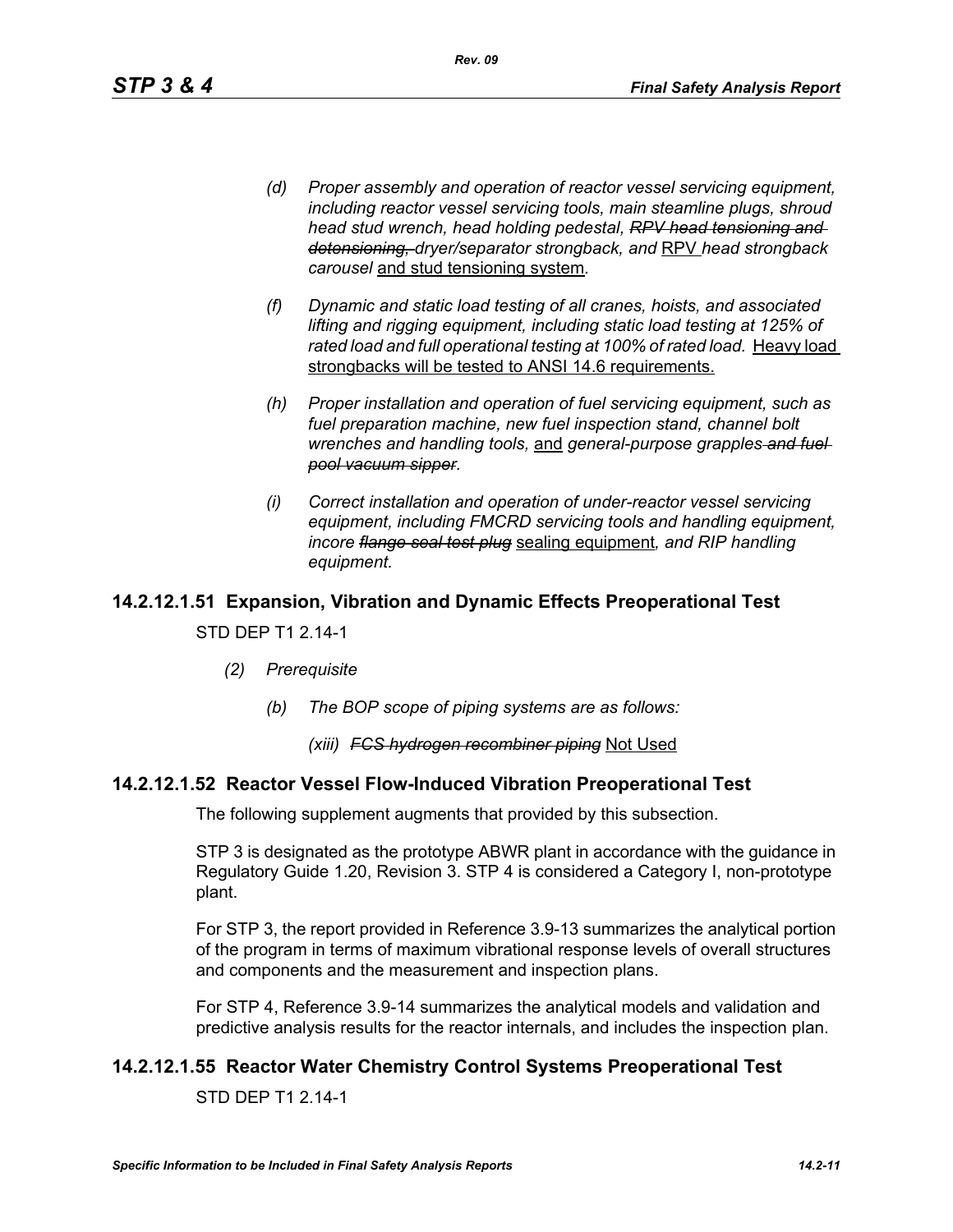*(d) Proper assembly and operation of reactor vessel servicing equipment, including reactor vessel servicing tools, main steamline plugs, shroud head stud wrench, head holding pedestal, RPV head tensioning and detensioning, dryer/separator strongback, and* RPV *head strongback carousel* and stud tensioning system*.*

*Rev. 09*

- *(f) Dynamic and static load testing of all cranes, hoists, and associated lifting and rigging equipment, including static load testing at 125% of*  rated load and full operational testing at 100% of rated load. Heavy load strongbacks will be tested to ANSI 14.6 requirements.
- *(h) Proper installation and operation of fuel servicing equipment, such as fuel preparation machine, new fuel inspection stand, channel bolt wrenches and handling tools,* and *general-purpose grapples and fuel pool vacuum sipper.*
- *(i) Correct installation and operation of under-reactor vessel servicing equipment, including FMCRD servicing tools and handling equipment, incore flange seal test plug* sealing equipment*, and RIP handling equipment.*

## **14.2.12.1.51 Expansion, Vibration and Dynamic Effects Preoperational Test**

### STD DEP T1 2.14-1

- *(2) Prerequisite*
	- *(b) The BOP scope of piping systems are as follows:*

### *(xiii) FCS hydrogen recombiner piping* Not Used

### **14.2.12.1.52 Reactor Vessel Flow-Induced Vibration Preoperational Test**

The following supplement augments that provided by this subsection.

STP 3 is designated as the prototype ABWR plant in accordance with the guidance in Regulatory Guide 1.20, Revision 3. STP 4 is considered a Category I, non-prototype plant.

For STP 3, the report provided in Reference 3.9-13 summarizes the analytical portion of the program in terms of maximum vibrational response levels of overall structures and components and the measurement and inspection plans.

For STP 4, Reference 3.9-14 summarizes the analytical models and validation and predictive analysis results for the reactor internals, and includes the inspection plan.

## **14.2.12.1.55 Reactor Water Chemistry Control Systems Preoperational Test**

STD DEP T1 2.14-1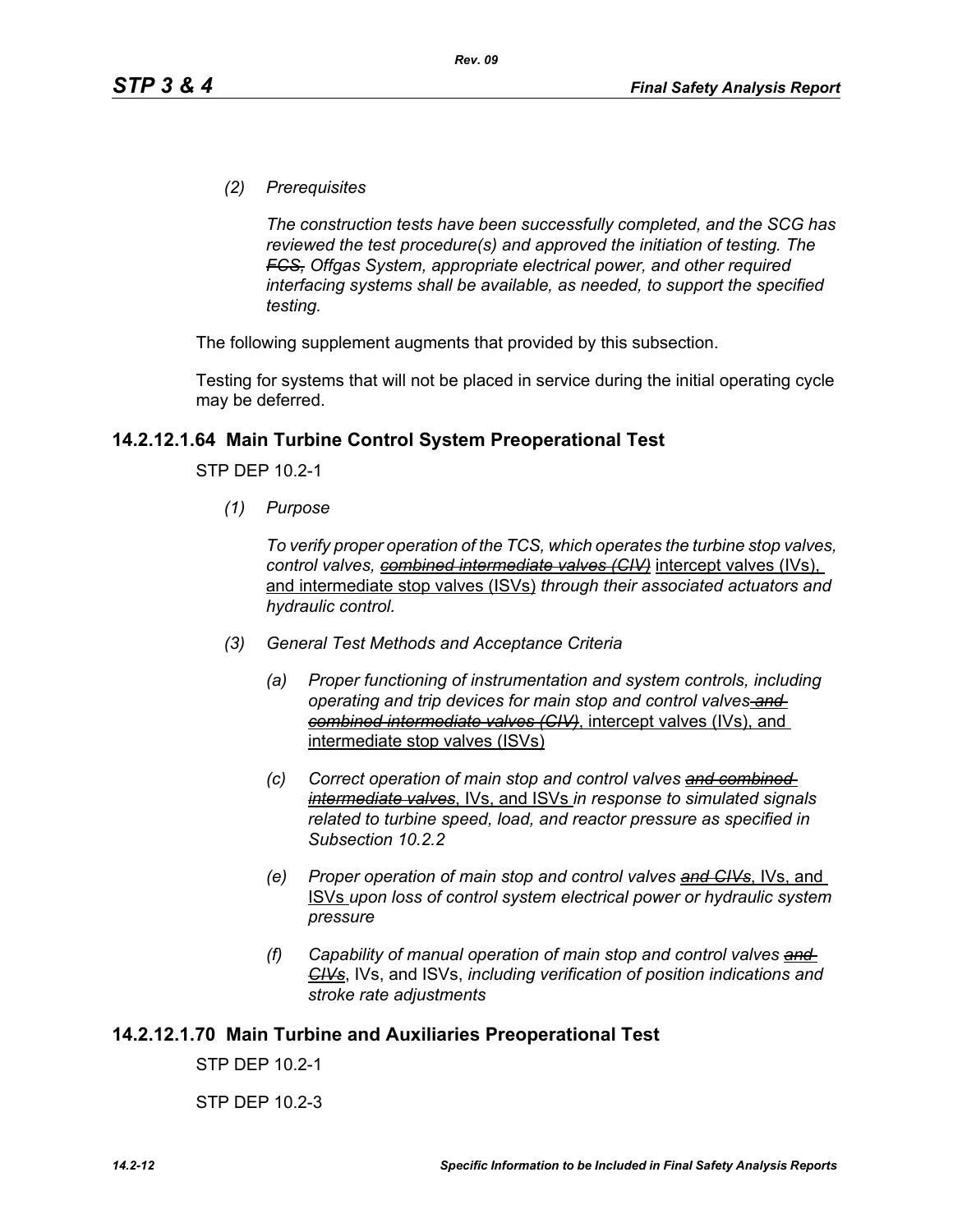*(2) Prerequisites*

*The construction tests have been successfully completed, and the SCG has reviewed the test procedure(s) and approved the initiation of testing. The FCS, Offgas System, appropriate electrical power, and other required interfacing systems shall be available, as needed, to support the specified testing.*

The following supplement augments that provided by this subsection.

Testing for systems that will not be placed in service during the initial operating cycle may be deferred.

### **14.2.12.1.64 Main Turbine Control System Preoperational Test**

STP DEP 10.2-1

*(1) Purpose*

*To verify proper operation of the TCS, which operates the turbine stop valves, control valves, combined intermediate valves (CIV)* intercept valves (IVs), and intermediate stop valves (ISVs) *through their associated actuators and hydraulic control.*

- *(3) General Test Methods and Acceptance Criteria*
	- *(a) Proper functioning of instrumentation and system controls, including operating and trip devices for main stop and control valves and combined intermediate valves (CIV)*, intercept valves (IVs), and intermediate stop valves (ISVs)
	- *(c) Correct operation of main stop and control valves and combined intermediate valves*, IVs, and ISVs *in response to simulated signals related to turbine speed, load, and reactor pressure as specified in Subsection 10.2.2*
	- *(e) Proper operation of main stop and control valves and CIVs*, IVs, and ISVs *upon loss of control system electrical power or hydraulic system pressure*
	- *(f) Capability of manual operation of main stop and control valves and CIVs*, IVs, and ISVs, *including verification of position indications and stroke rate adjustments*

#### **14.2.12.1.70 Main Turbine and Auxiliaries Preoperational Test**

STP DEP 10.2-1

STP DEP 10.2-3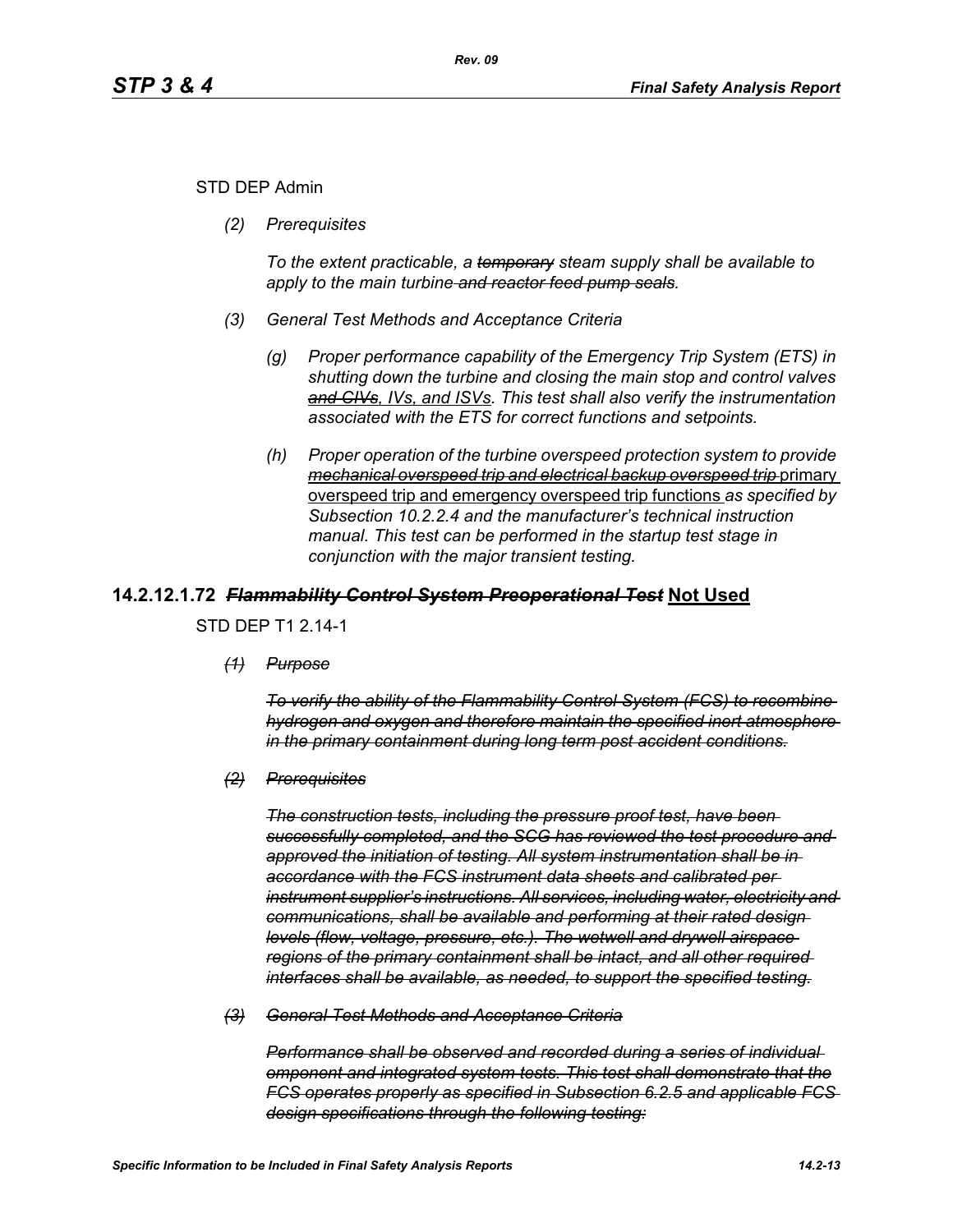### STD DEP Admin

*(2) Prerequisites*

*To the extent practicable, a temporary steam supply shall be available to apply to the main turbine and reactor feed pump seals.*

- *(3) General Test Methods and Acceptance Criteria*
	- *(g) Proper performance capability of the Emergency Trip System (ETS) in shutting down the turbine and closing the main stop and control valves and CIVs, IVs, and ISVs. This test shall also verify the instrumentation associated with the ETS for correct functions and setpoints.*
	- *(h) Proper operation of the turbine overspeed protection system to provide mechanical overspeed trip and electrical backup overspeed trip* primary overspeed trip and emergency overspeed trip functions *as specified by Subsection 10.2.2.4 and the manufacturer's technical instruction manual. This test can be performed in the startup test stage in conjunction with the major transient testing.*

### **14.2.12.1.72** *Flammability Control System Preoperational Test* **Not Used**

STD DEP T1 2.14-1

*(1) Purpose*

*To verify the ability of the Flammability Control System (FCS) to recombine hydrogen and oxygen and therefore maintain the specified inert atmosphere in the primary containment during long term post accident conditions.*

*(2) Prerequisites*

*The construction tests, including the pressure proof test, have been successfully completed, and the SCG has reviewed the test procedure and approved the initiation of testing. All system instrumentation shall be in accordance with the FCS instrument data sheets and calibrated per instrument supplier's instructions. All services, including water, electricity and communications, shall be available and performing at their rated design levels (flow, voltage, pressure, etc.). The wetwell and drywell airspace regions of the primary containment shall be intact, and all other required interfaces shall be available, as needed, to support the specified testing.*

*(3) General Test Methods and Acceptance Criteria*

*Performance shall be observed and recorded during a series of individual omponent and integrated system tests. This test shall demonstrate that the FCS operates properly as specified in Subsection 6.2.5 and applicable FCS design specifications through the following testing:*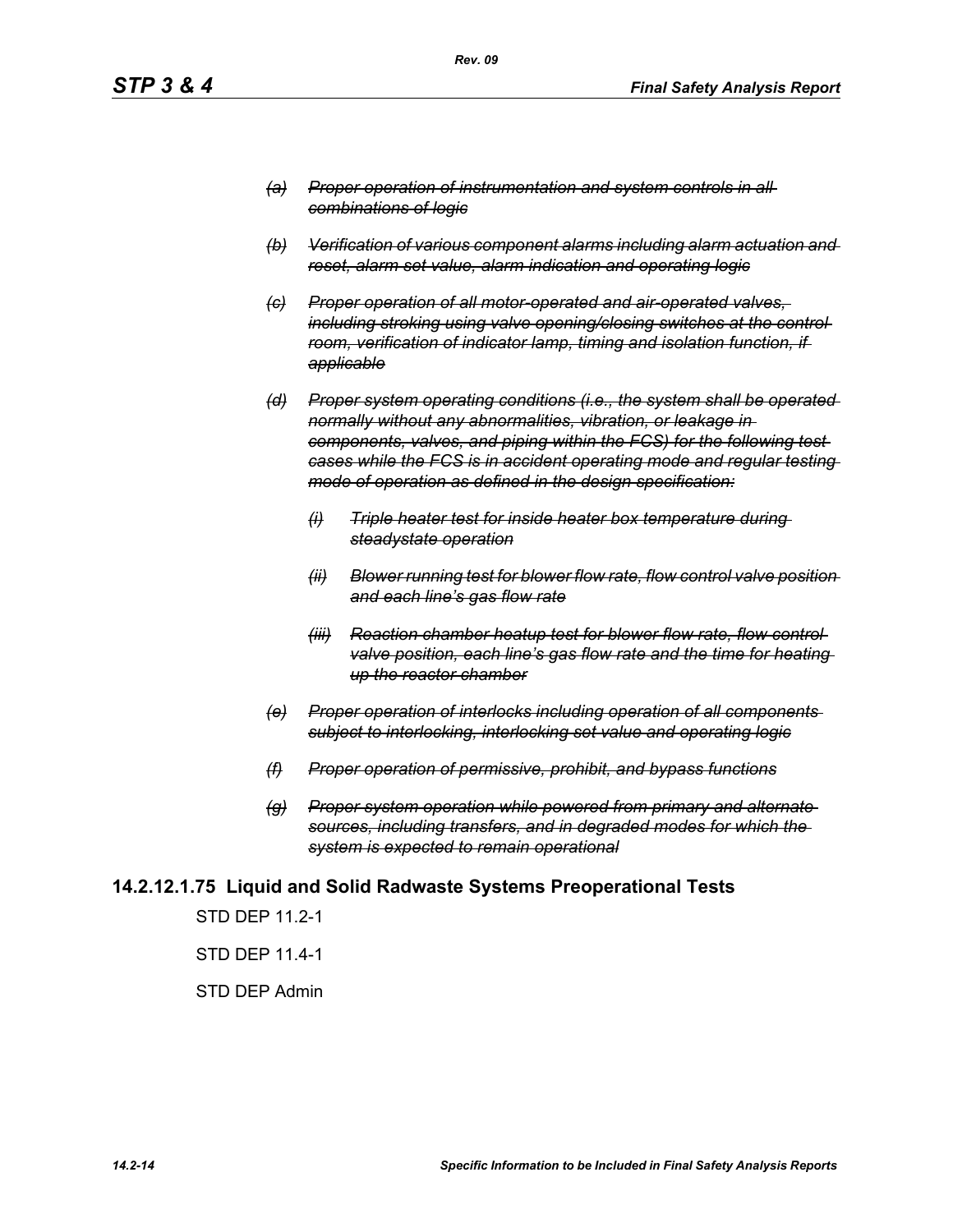- *(a) Proper operation of instrumentation and system controls in all combinations of logic*
- *(b) Verification of various component alarms including alarm actuation and reset, alarm set value, alarm indication and operating logic*
- *(c) Proper operation of all motor-operated and air-operated valves, including stroking using valve opening/closing switches at the control room, verification of indicator lamp, timing and isolation function, if applicable*
- *(d) Proper system operating conditions (i.e., the system shall be operated normally without any abnormalities, vibration, or leakage in components, valves, and piping within the FCS) for the following test cases while the FCS is in accident operating mode and regular testing mode of operation as defined in the design specification:*
	- *(i) Triple heater test for inside heater box temperature during steadystate operation*
	- *(ii) Blower running test for blower flow rate, flow control valve position and each line's gas flow rate*
	- *(iii) Reaction chamber heatup test for blower flow rate, flow control valve position, each line's gas flow rate and the time for heating up the reactor chamber*
- *(e) Proper operation of interlocks including operation of all components subject to interlocking, interlocking set value and operating logic*
- *(f) Proper operation of permissive, prohibit, and bypass functions*
- *(g) Proper system operation while powered from primary and alternate sources, including transfers, and in degraded modes for which the system is expected to remain operational*

### **14.2.12.1.75 Liquid and Solid Radwaste Systems Preoperational Tests**

STD DEP 11.2-1

STD DEP 11.4-1

#### STD DEP Admin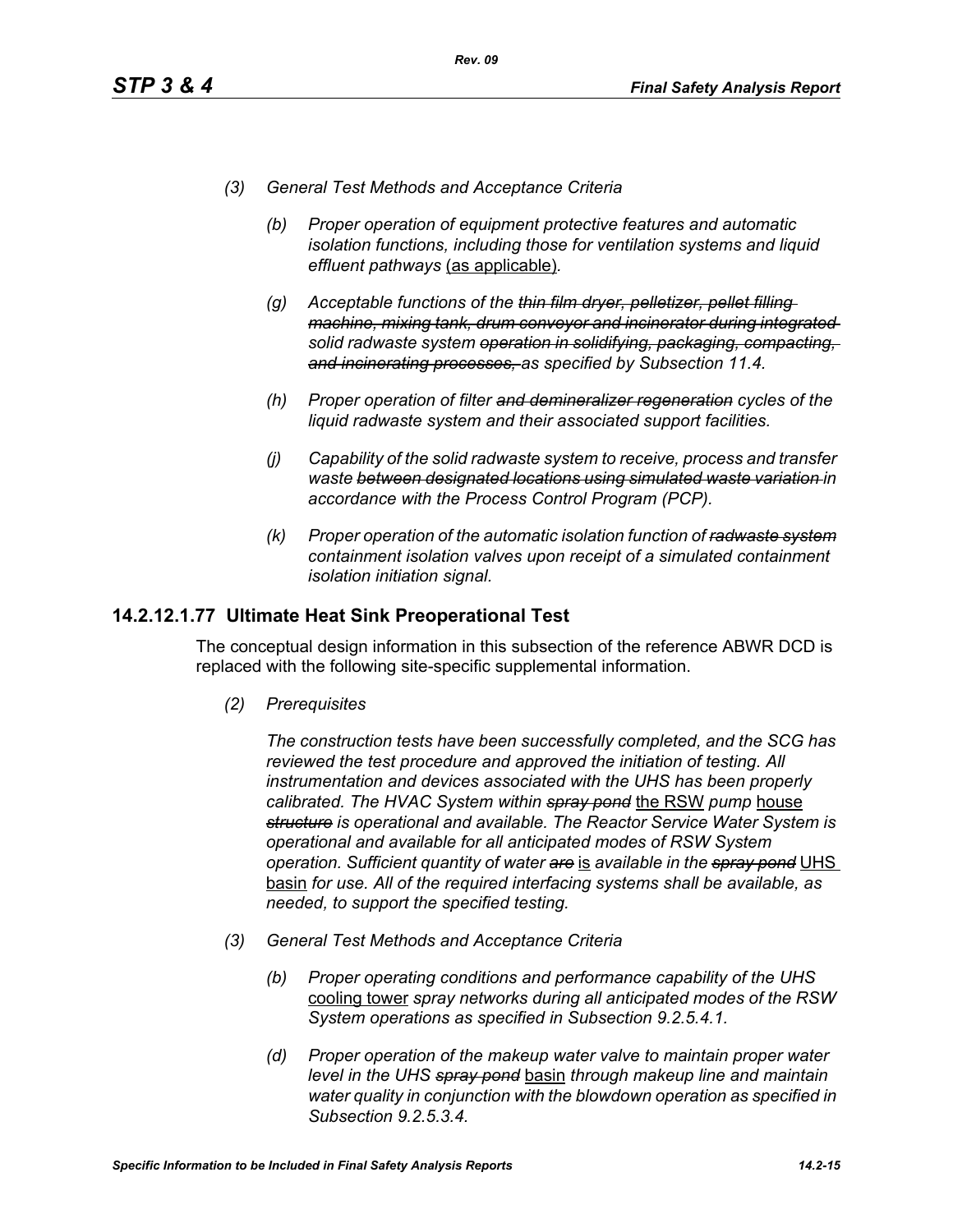*(3) General Test Methods and Acceptance Criteria*

*Rev. 09*

- *(b) Proper operation of equipment protective features and automatic isolation functions, including those for ventilation systems and liquid effluent pathways* (as applicable)*.*
- *(g) Acceptable functions of the thin film dryer, pelletizer, pellet filling machine, mixing tank, drum conveyor and incinerator during integrated solid radwaste system operation in solidifying, packaging, compacting, and incinerating processes, as specified by Subsection 11.4.*
- *(h) Proper operation of filter and demineralizer regeneration cycles of the liquid radwaste system and their associated support facilities.*
- *(j) Capability of the solid radwaste system to receive, process and transfer waste between designated locations using simulated waste variation in accordance with the Process Control Program (PCP).*
- *(k) Proper operation of the automatic isolation function of radwaste system containment isolation valves upon receipt of a simulated containment isolation initiation signal.*

### **14.2.12.1.77 Ultimate Heat Sink Preoperational Test**

The conceptual design information in this subsection of the reference ABWR DCD is replaced with the following site-specific supplemental information.

*(2) Prerequisites*

*The construction tests have been successfully completed, and the SCG has reviewed the test procedure and approved the initiation of testing. All instrumentation and devices associated with the UHS has been properly calibrated. The HVAC System within spray pond* the RSW *pump* house *structure is operational and available. The Reactor Service Water System is operational and available for all anticipated modes of RSW System operation. Sufficient quantity of water are* is *available in the spray pond* UHS basin *for use. All of the required interfacing systems shall be available, as needed, to support the specified testing.*

- *(3) General Test Methods and Acceptance Criteria*
	- *(b) Proper operating conditions and performance capability of the UHS*  cooling tower *spray networks during all anticipated modes of the RSW System operations as specified in Subsection 9.2.5.4.1.*
	- *(d) Proper operation of the makeup water valve to maintain proper water level in the UHS spray pond* basin *through makeup line and maintain water quality in conjunction with the blowdown operation as specified in Subsection 9.2.5.3.4.*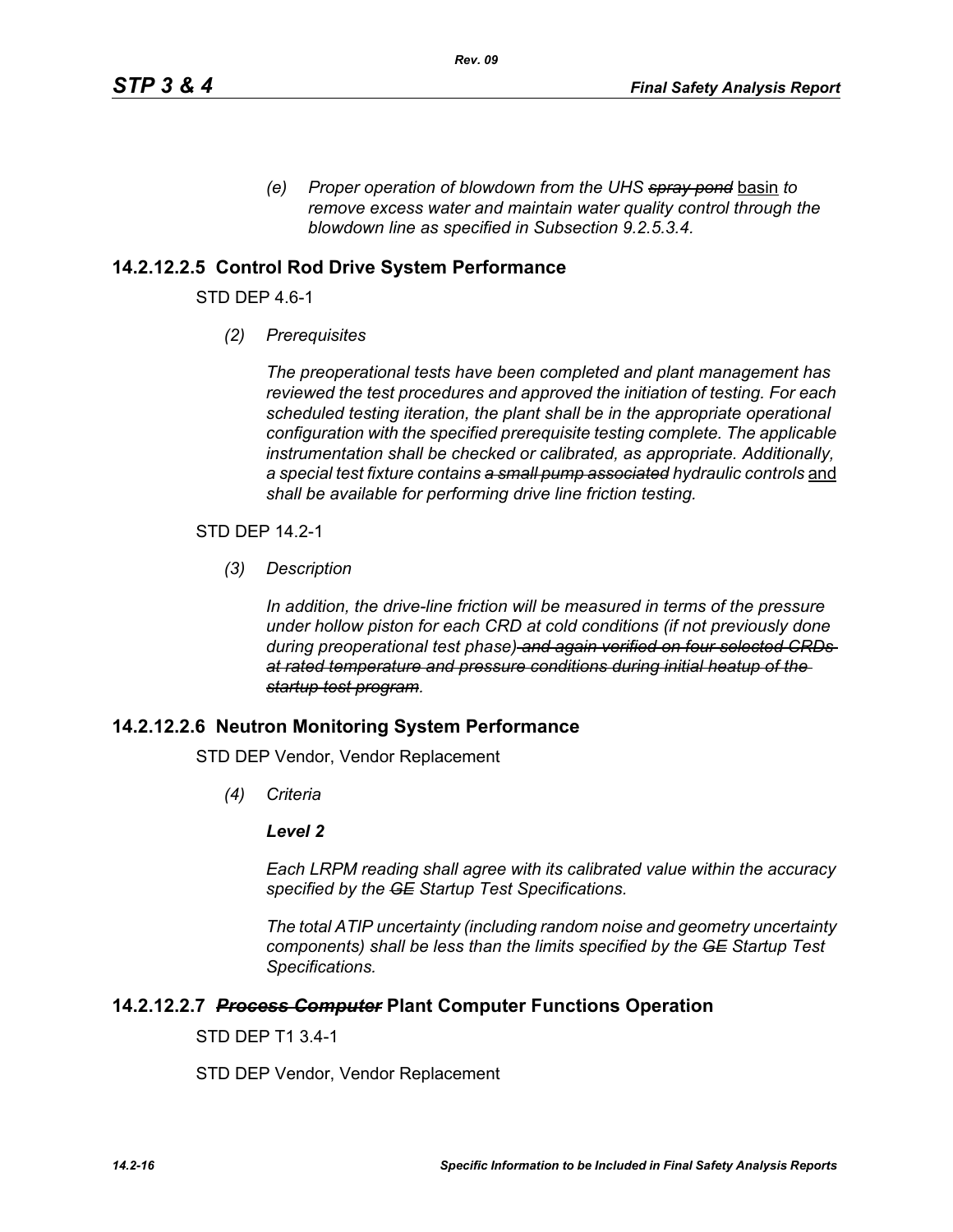*(e) Proper operation of blowdown from the UHS spray pond* basin *to remove excess water and maintain water quality control through the blowdown line as specified in Subsection 9.2.5.3.4.* 

## **14.2.12.2.5 Control Rod Drive System Performance**

STD DEP 4.6-1

*(2) Prerequisites*

*The preoperational tests have been completed and plant management has reviewed the test procedures and approved the initiation of testing. For each scheduled testing iteration, the plant shall be in the appropriate operational configuration with the specified prerequisite testing complete. The applicable instrumentation shall be checked or calibrated, as appropriate. Additionally,*  a special test fixture contains a small pump associated hydraulic controls and *shall be available for performing drive line friction testing.*

STD DEP 14.2-1

*(3) Description*

*In addition, the drive-line friction will be measured in terms of the pressure under hollow piston for each CRD at cold conditions (if not previously done during preoperational test phase) and again verified on four selected CRDs at rated temperature and pressure conditions during initial heatup of the startup test program.*

### **14.2.12.2.6 Neutron Monitoring System Performance**

STD DEP Vendor, Vendor Replacement

*(4) Criteria*

#### *Level 2*

*Each LRPM reading shall agree with its calibrated value within the accuracy specified by the GE Startup Test Specifications.*

*The total ATIP uncertainty (including random noise and geometry uncertainty components) shall be less than the limits specified by the GE Startup Test Specifications.*

### **14.2.12.2.7** *Process Computer* **Plant Computer Functions Operation**

STD DEP T1 3.4-1

STD DEP Vendor, Vendor Replacement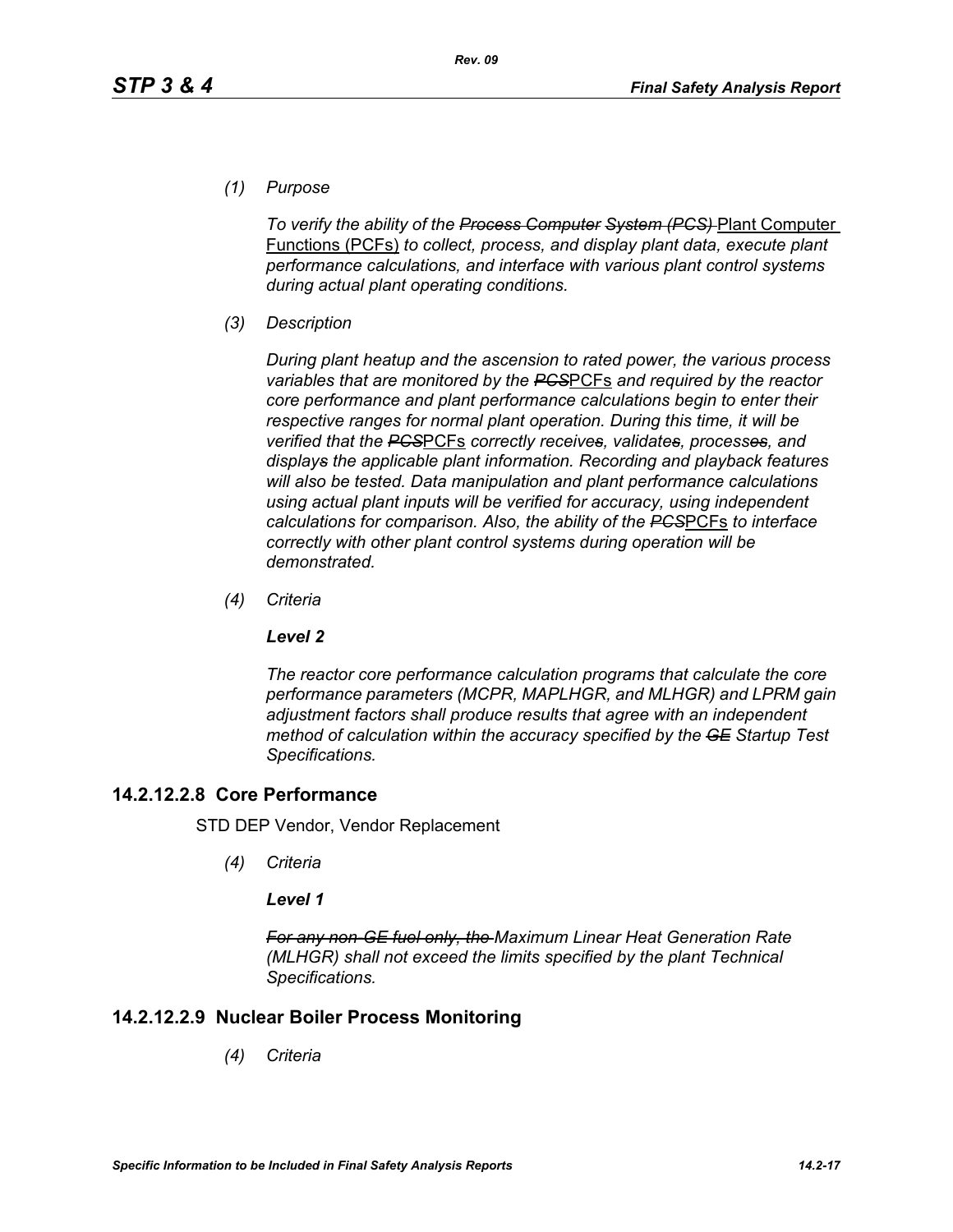*(1) Purpose*

*To verify the ability of the Process Computer System (PCS)* Plant Computer Functions (PCFs) *to collect, process, and display plant data, execute plant performance calculations, and interface with various plant control systems during actual plant operating conditions.*

*(3) Description*

*During plant heatup and the ascension to rated power, the various process variables that are monitored by the PCS*PCFs *and required by the reactor core performance and plant performance calculations begin to enter their respective ranges for normal plant operation. During this time, it will be verified that the PCS*PCFs *correctly receives, validates, processes, and displays the applicable plant information. Recording and playback features will also be tested. Data manipulation and plant performance calculations using actual plant inputs will be verified for accuracy, using independent calculations for comparison. Also, the ability of the PCS*PCFs *to interface correctly with other plant control systems during operation will be demonstrated.*

*(4) Criteria*

### *Level 2*

*The reactor core performance calculation programs that calculate the core performance parameters (MCPR, MAPLHGR, and MLHGR) and LPRM gain adjustment factors shall produce results that agree with an independent method of calculation within the accuracy specified by the GE Startup Test Specifications.*

## **14.2.12.2.8 Core Performance**

STD DEP Vendor, Vendor Replacement

*(4) Criteria*

### *Level 1*

*For any non-GE fuel only, the Maximum Linear Heat Generation Rate (MLHGR) shall not exceed the limits specified by the plant Technical Specifications.*

## **14.2.12.2.9 Nuclear Boiler Process Monitoring**

*(4) Criteria*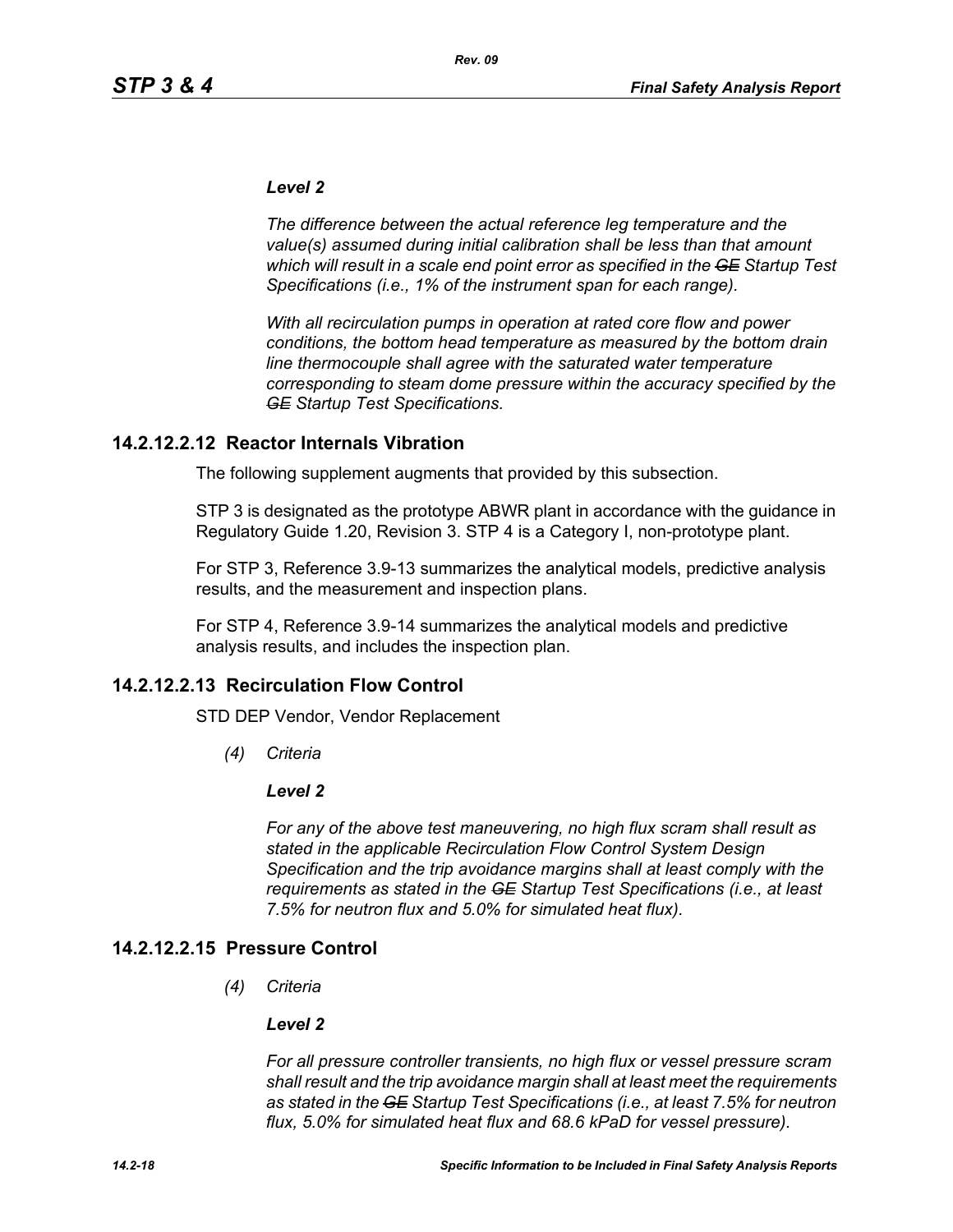#### *Level 2*

*The difference between the actual reference leg temperature and the value(s) assumed during initial calibration shall be less than that amount which will result in a scale end point error as specified in the GE Startup Test Specifications (i.e., 1% of the instrument span for each range).* 

*With all recirculation pumps in operation at rated core flow and power conditions, the bottom head temperature as measured by the bottom drain line thermocouple shall agree with the saturated water temperature corresponding to steam dome pressure within the accuracy specified by the GE Startup Test Specifications.*

### **14.2.12.2.12 Reactor Internals Vibration**

The following supplement augments that provided by this subsection.

STP 3 is designated as the prototype ABWR plant in accordance with the guidance in Regulatory Guide 1.20, Revision 3. STP 4 is a Category I, non-prototype plant.

For STP 3, Reference 3.9-13 summarizes the analytical models, predictive analysis results, and the measurement and inspection plans.

For STP 4, Reference 3.9-14 summarizes the analytical models and predictive analysis results, and includes the inspection plan.

### **14.2.12.2.13 Recirculation Flow Control**

STD DEP Vendor, Vendor Replacement

*(4) Criteria*

#### *Level 2*

*For any of the above test maneuvering, no high flux scram shall result as stated in the applicable Recirculation Flow Control System Design Specification and the trip avoidance margins shall at least comply with the requirements as stated in the GE Startup Test Specifications (i.e., at least 7.5% for neutron flux and 5.0% for simulated heat flux).*

### **14.2.12.2.15 Pressure Control**

*(4) Criteria*

#### *Level 2*

*For all pressure controller transients, no high flux or vessel pressure scram shall result and the trip avoidance margin shall at least meet the requirements as stated in the GE Startup Test Specifications (i.e., at least 7.5% for neutron flux, 5.0% for simulated heat flux and 68.6 kPaD for vessel pressure).*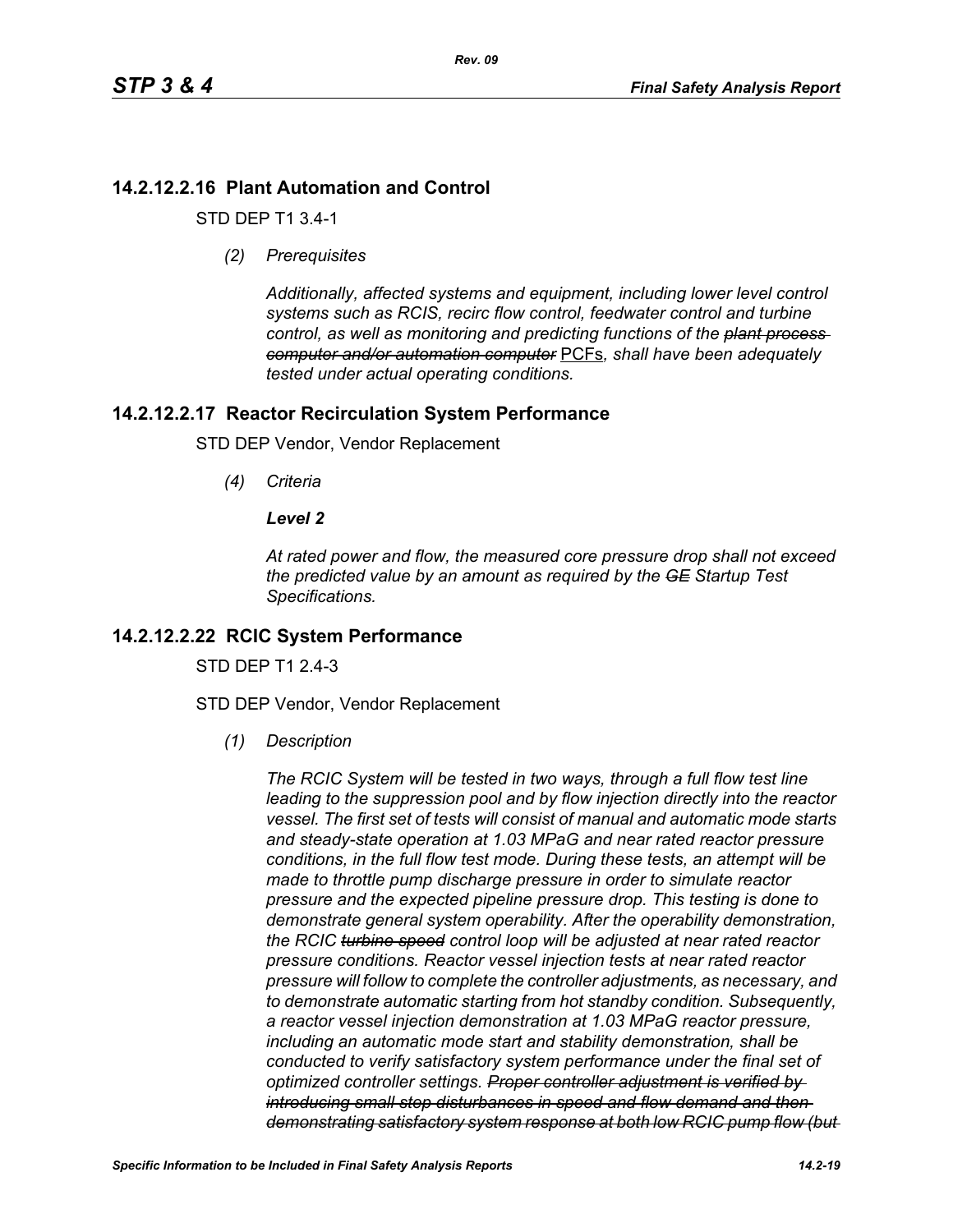## **14.2.12.2.16 Plant Automation and Control**

STD DEP T1 3.4-1

*(2) Prerequisites*

*Additionally, affected systems and equipment, including lower level control systems such as RCIS, recirc flow control, feedwater control and turbine control, as well as monitoring and predicting functions of the plant process computer and/or automation computer* PCFs*, shall have been adequately tested under actual operating conditions.*

## **14.2.12.2.17 Reactor Recirculation System Performance**

STD DEP Vendor, Vendor Replacement

*(4) Criteria*

## *Level 2*

*At rated power and flow, the measured core pressure drop shall not exceed the predicted value by an amount as required by the GE Startup Test Specifications.*

## **14.2.12.2.22 RCIC System Performance**

STD DFP T1 2 4-3

STD DEP Vendor, Vendor Replacement

*(1) Description*

*The RCIC System will be tested in two ways, through a full flow test line leading to the suppression pool and by flow injection directly into the reactor vessel. The first set of tests will consist of manual and automatic mode starts and steady-state operation at 1.03 MPaG and near rated reactor pressure conditions, in the full flow test mode. During these tests, an attempt will be made to throttle pump discharge pressure in order to simulate reactor pressure and the expected pipeline pressure drop. This testing is done to demonstrate general system operability. After the operability demonstration, the RCIC turbine speed control loop will be adjusted at near rated reactor pressure conditions. Reactor vessel injection tests at near rated reactor pressure will follow to complete the controller adjustments, as necessary, and to demonstrate automatic starting from hot standby condition. Subsequently, a reactor vessel injection demonstration at 1.03 MPaG reactor pressure, including an automatic mode start and stability demonstration, shall be conducted to verify satisfactory system performance under the final set of optimized controller settings. Proper controller adjustment is verified by introducing small step disturbances in speed and flow demand and then demonstrating satisfactory system response at both low RCIC pump flow (but*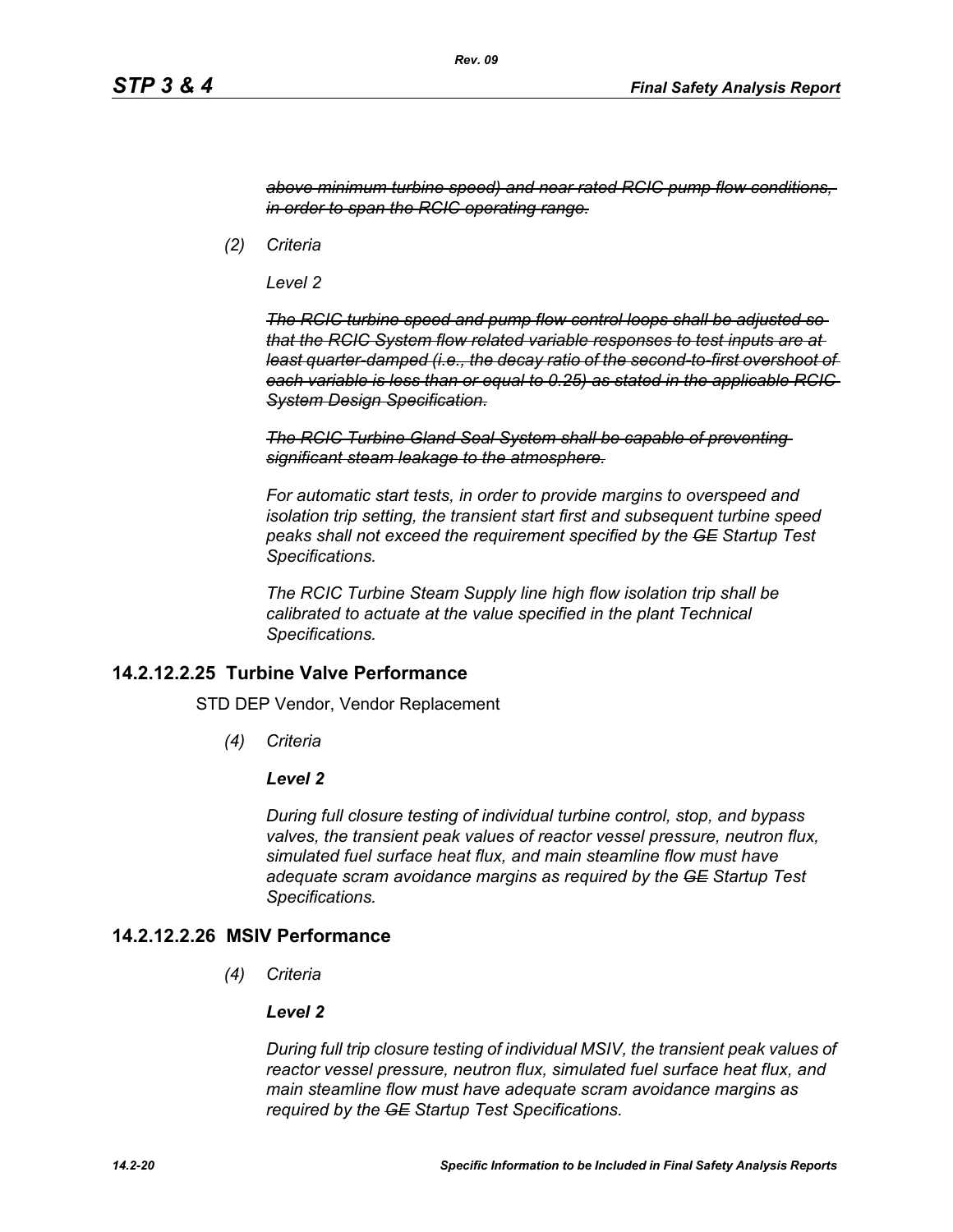*above minimum turbine speed) and near rated RCIC pump flow conditions, in order to span the RCIC operating range.*

*(2) Criteria*

*Level 2*

*The RCIC turbine speed and pump flow control loops shall be adjusted so that the RCIC System flow related variable responses to test inputs are at least quarter-damped (i.e., the decay ratio of the second-to-first overshoot of each variable is less than or equal to 0.25) as stated in the applicable RCIC System Design Specification.*

*The RCIC Turbine Gland Seal System shall be capable of preventing significant steam leakage to the atmosphere.*

*For automatic start tests, in order to provide margins to overspeed and isolation trip setting, the transient start first and subsequent turbine speed peaks shall not exceed the requirement specified by the GE Startup Test Specifications.*

*The RCIC Turbine Steam Supply line high flow isolation trip shall be calibrated to actuate at the value specified in the plant Technical Specifications.*

### **14.2.12.2.25 Turbine Valve Performance**

STD DEP Vendor, Vendor Replacement

*(4) Criteria*

#### *Level 2*

*During full closure testing of individual turbine control, stop, and bypass valves, the transient peak values of reactor vessel pressure, neutron flux, simulated fuel surface heat flux, and main steamline flow must have adequate scram avoidance margins as required by the GE Startup Test Specifications.*

## **14.2.12.2.26 MSIV Performance**

*(4) Criteria*

#### *Level 2*

*During full trip closure testing of individual MSIV, the transient peak values of reactor vessel pressure, neutron flux, simulated fuel surface heat flux, and main steamline flow must have adequate scram avoidance margins as required by the GE Startup Test Specifications.*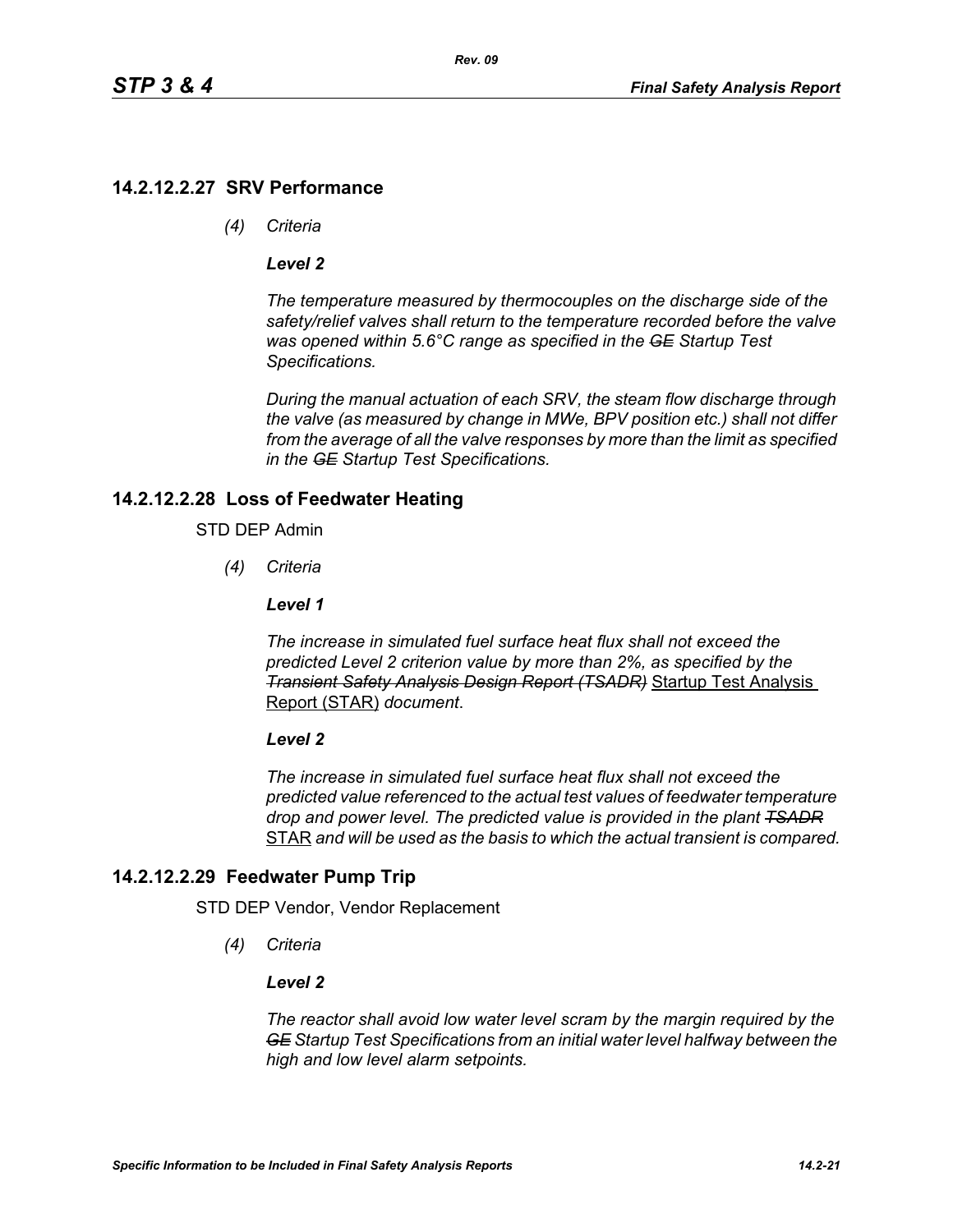## **14.2.12.2.27 SRV Performance**

*(4) Criteria*

### *Level 2*

*The temperature measured by thermocouples on the discharge side of the safety/relief valves shall return to the temperature recorded before the valve was opened within 5.6°C range as specified in the GE Startup Test Specifications.*

*During the manual actuation of each SRV, the steam flow discharge through the valve (as measured by change in MWe, BPV position etc.) shall not differ from the average of all the valve responses by more than the limit as specified in the GE Startup Test Specifications.*

## **14.2.12.2.28 Loss of Feedwater Heating**

### STD DEP Admin

*(4) Criteria*

### *Level 1*

*The increase in simulated fuel surface heat flux shall not exceed the predicted Level 2 criterion value by more than 2%, as specified by the Transient Safety Analysis Design Report (TSADR)* Startup Test Analysis Report (STAR) *document*.

#### *Level 2*

*The increase in simulated fuel surface heat flux shall not exceed the predicted value referenced to the actual test values of feedwater temperature drop and power level. The predicted value is provided in the plant TSADR* STAR *and will be used as the basis to which the actual transient is compared.*

## **14.2.12.2.29 Feedwater Pump Trip**

STD DEP Vendor, Vendor Replacement

*(4) Criteria*

### *Level 2*

*The reactor shall avoid low water level scram by the margin required by the GE Startup Test Specifications from an initial water level halfway between the high and low level alarm setpoints.*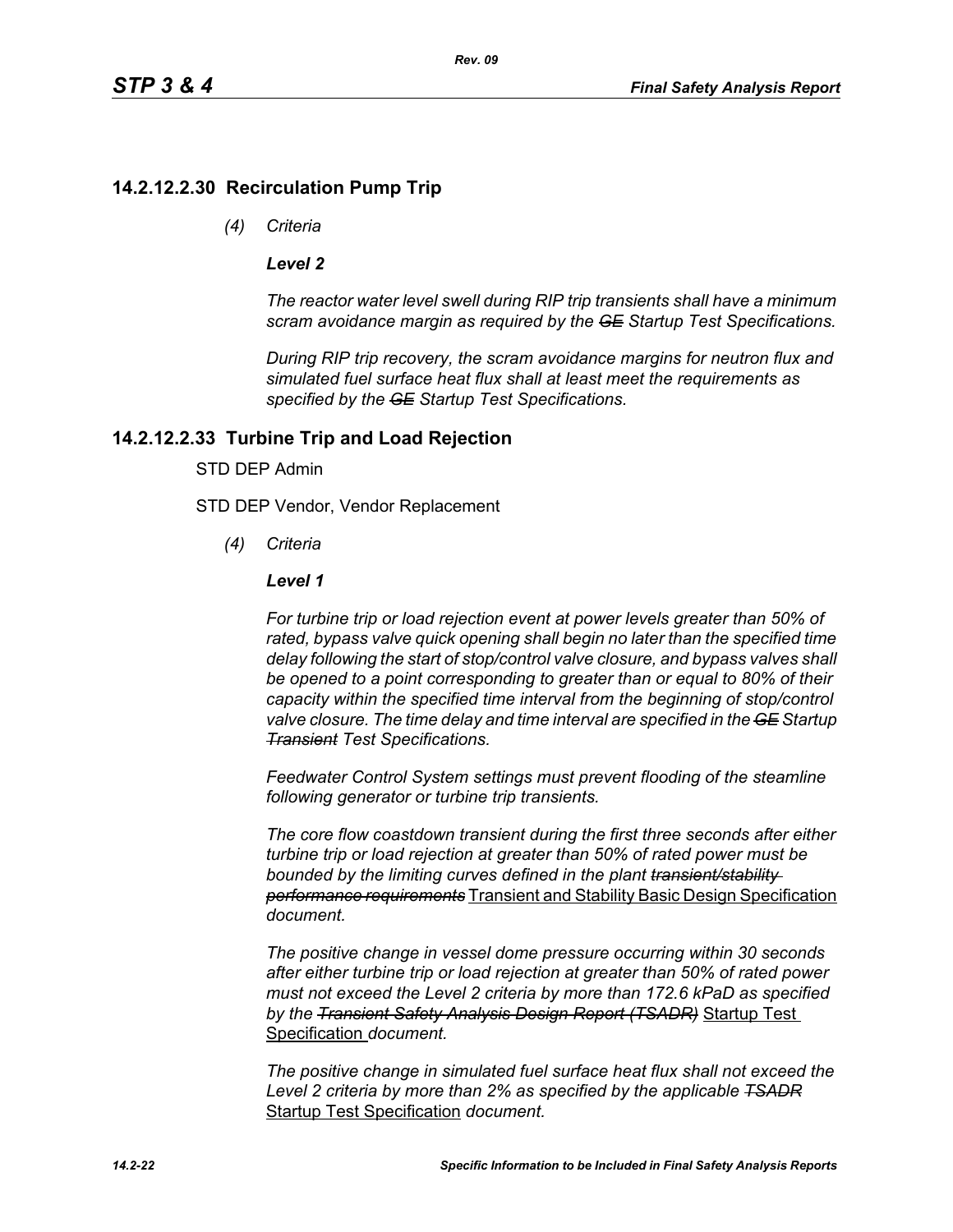## **14.2.12.2.30 Recirculation Pump Trip**

*(4) Criteria*

### *Level 2*

*The reactor water level swell during RIP trip transients shall have a minimum scram avoidance margin as required by the GE Startup Test Specifications.*

*During RIP trip recovery, the scram avoidance margins for neutron flux and simulated fuel surface heat flux shall at least meet the requirements as specified by the GE Startup Test Specifications.*

## **14.2.12.2.33 Turbine Trip and Load Rejection**

### STD DEP Admin

STD DEP Vendor, Vendor Replacement

*(4) Criteria*

### *Level 1*

*For turbine trip or load rejection event at power levels greater than 50% of rated, bypass valve quick opening shall begin no later than the specified time delay following the start of stop/control valve closure, and bypass valves shall be opened to a point corresponding to greater than or equal to 80% of their capacity within the specified time interval from the beginning of stop/control valve closure. The time delay and time interval are specified in the GE Startup Transient Test Specifications.*

*Feedwater Control System settings must prevent flooding of the steamline following generator or turbine trip transients.*

*The core flow coastdown transient during the first three seconds after either turbine trip or load rejection at greater than 50% of rated power must be bounded by the limiting curves defined in the plant transient/stability performance requirements* Transient and Stability Basic Design Specification *document.*

*The positive change in vessel dome pressure occurring within 30 seconds after either turbine trip or load rejection at greater than 50% of rated power must not exceed the Level 2 criteria by more than 172.6 kPaD as specified by the Transient Safety Analysis Design Report (TSADR)* Startup Test Specification *document.*

*The positive change in simulated fuel surface heat flux shall not exceed the Level 2 criteria by more than 2% as specified by the applicable TSADR* Startup Test Specification *document.*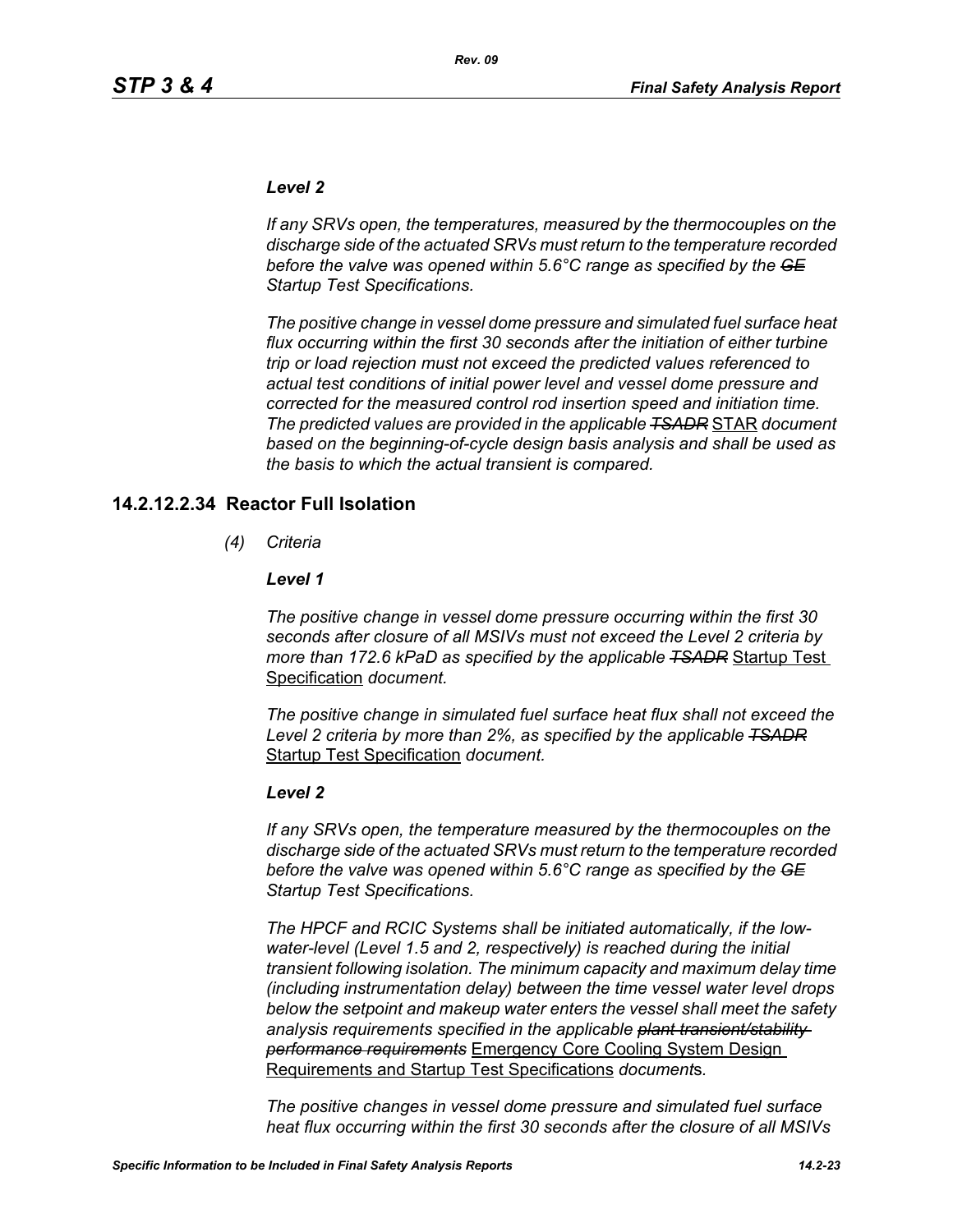### *Level 2*

*If any SRVs open, the temperatures, measured by the thermocouples on the discharge side of the actuated SRVs must return to the temperature recorded before the valve was opened within 5.6°C range as specified by the GE Startup Test Specifications.*

*The positive change in vessel dome pressure and simulated fuel surface heat flux occurring within the first 30 seconds after the initiation of either turbine trip or load rejection must not exceed the predicted values referenced to actual test conditions of initial power level and vessel dome pressure and corrected for the measured control rod insertion speed and initiation time. The predicted values are provided in the applicable TSADR* STAR *document based on the beginning-of-cycle design basis analysis and shall be used as the basis to which the actual transient is compared.*

### **14.2.12.2.34 Reactor Full Isolation**

*(4) Criteria*

#### *Level 1*

*The positive change in vessel dome pressure occurring within the first 30 seconds after closure of all MSIVs must not exceed the Level 2 criteria by more than 172.6 kPaD as specified by the applicable TSADR* Startup Test Specification *document.*

*The positive change in simulated fuel surface heat flux shall not exceed the Level 2 criteria by more than 2%, as specified by the applicable TSADR* Startup Test Specification *document.*

#### *Level 2*

*If any SRVs open, the temperature measured by the thermocouples on the discharge side of the actuated SRVs must return to the temperature recorded before the valve was opened within 5.6°C range as specified by the GE Startup Test Specifications.*

*The HPCF and RCIC Systems shall be initiated automatically, if the lowwater-level (Level 1.5 and 2, respectively) is reached during the initial transient following isolation. The minimum capacity and maximum delay time (including instrumentation delay) between the time vessel water level drops below the setpoint and makeup water enters the vessel shall meet the safety analysis requirements specified in the applicable plant transient/stability performance requirements* Emergency Core Cooling System Design Requirements and Startup Test Specifications *document*s*.*

*The positive changes in vessel dome pressure and simulated fuel surface heat flux occurring within the first 30 seconds after the closure of all MSIVs*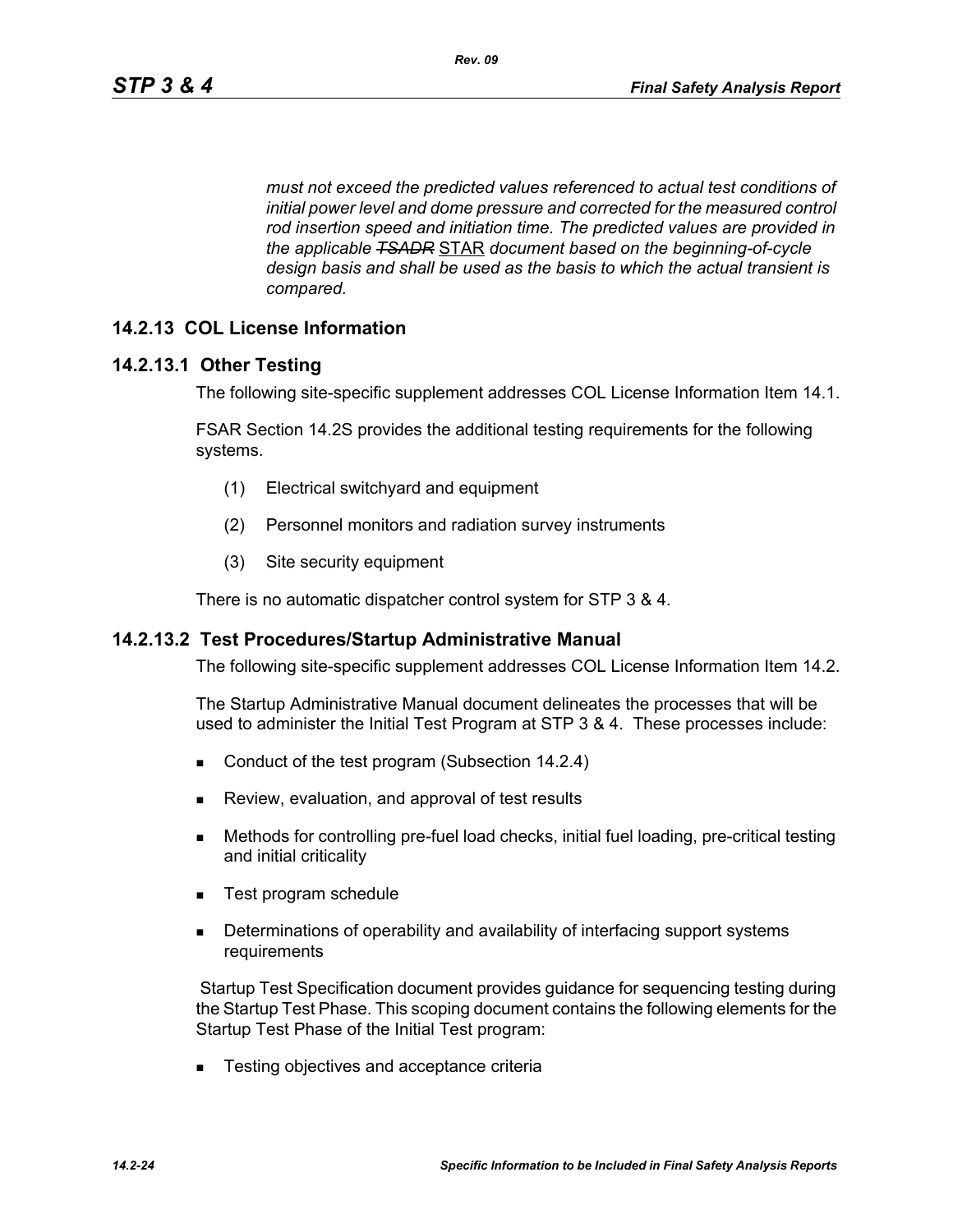*must not exceed the predicted values referenced to actual test conditions of initial power level and dome pressure and corrected for the measured control rod insertion speed and initiation time. The predicted values are provided in the applicable TSADR* STAR *document based on the beginning-of-cycle design basis and shall be used as the basis to which the actual transient is compared.*

## **14.2.13 COL License Information**

### **14.2.13.1 Other Testing**

The following site-specific supplement addresses COL License Information Item 14.1.

FSAR Section 14.2S provides the additional testing requirements for the following systems.

- (1) Electrical switchyard and equipment
- (2) Personnel monitors and radiation survey instruments
- (3) Site security equipment

There is no automatic dispatcher control system for STP 3 & 4.

#### **14.2.13.2 Test Procedures/Startup Administrative Manual**

The following site-specific supplement addresses COL License Information Item 14.2.

The Startup Administrative Manual document delineates the processes that will be used to administer the Initial Test Program at STP 3 & 4. These processes include:

- Conduct of the test program (Subsection 14.2.4)
- **Review, evaluation, and approval of test results**
- Methods for controlling pre-fuel load checks, initial fuel loading, pre-critical testing and initial criticality
- Test program schedule
- **Determinations of operability and availability of interfacing support systems** requirements

 Startup Test Specification document provides guidance for sequencing testing during the Startup Test Phase. This scoping document contains the following elements for the Startup Test Phase of the Initial Test program:

■ Testing objectives and acceptance criteria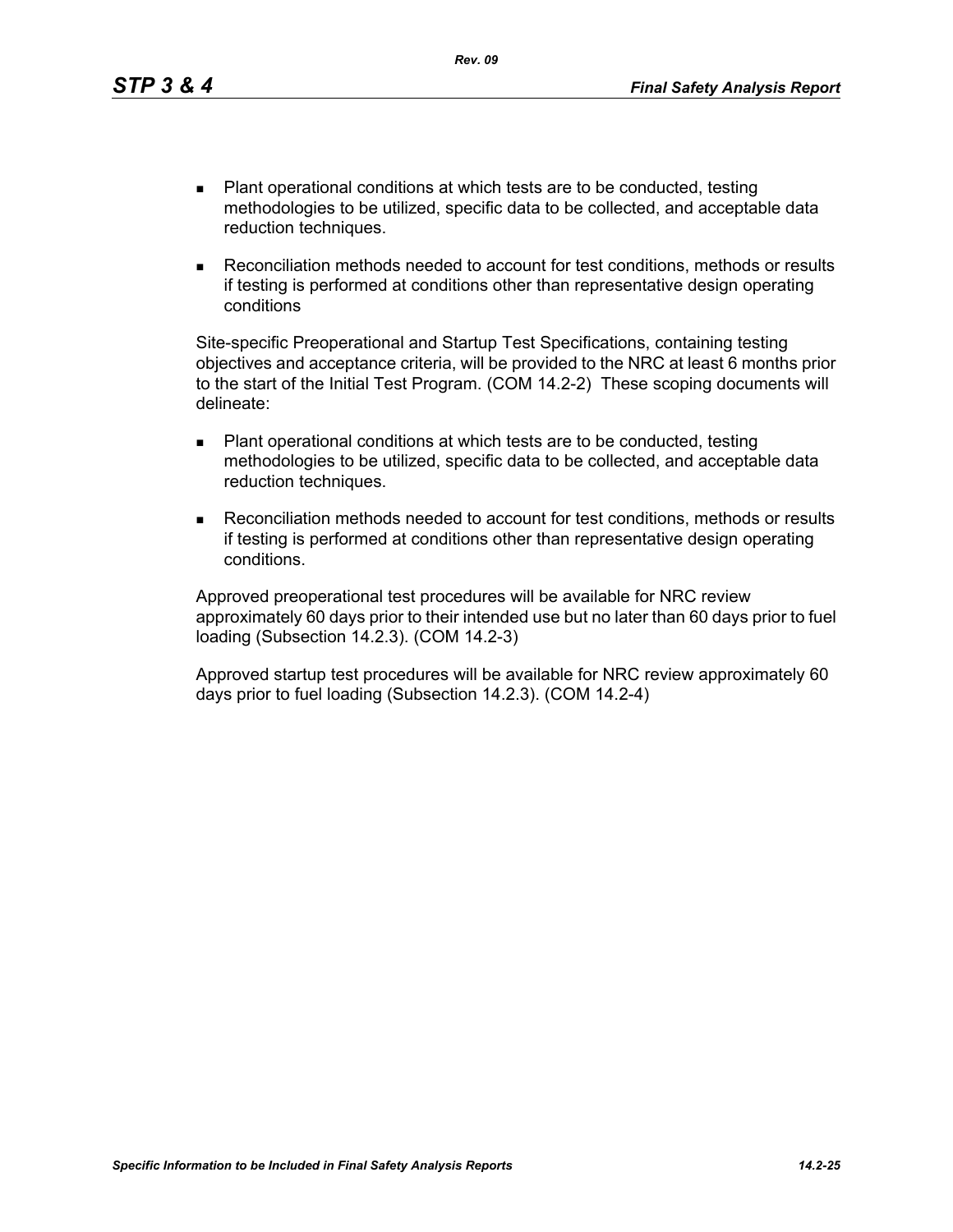- Plant operational conditions at which tests are to be conducted, testing methodologies to be utilized, specific data to be collected, and acceptable data reduction techniques.
- Reconciliation methods needed to account for test conditions, methods or results if testing is performed at conditions other than representative design operating conditions

Site-specific Preoperational and Startup Test Specifications, containing testing objectives and acceptance criteria, will be provided to the NRC at least 6 months prior to the start of the Initial Test Program. (COM 14.2-2) These scoping documents will delineate:

- Plant operational conditions at which tests are to be conducted, testing methodologies to be utilized, specific data to be collected, and acceptable data reduction techniques.
- Reconciliation methods needed to account for test conditions, methods or results if testing is performed at conditions other than representative design operating conditions.

Approved preoperational test procedures will be available for NRC review approximately 60 days prior to their intended use but no later than 60 days prior to fuel loading (Subsection 14.2.3). (COM 14.2-3)

Approved startup test procedures will be available for NRC review approximately 60 days prior to fuel loading (Subsection 14.2.3). (COM 14.2-4)